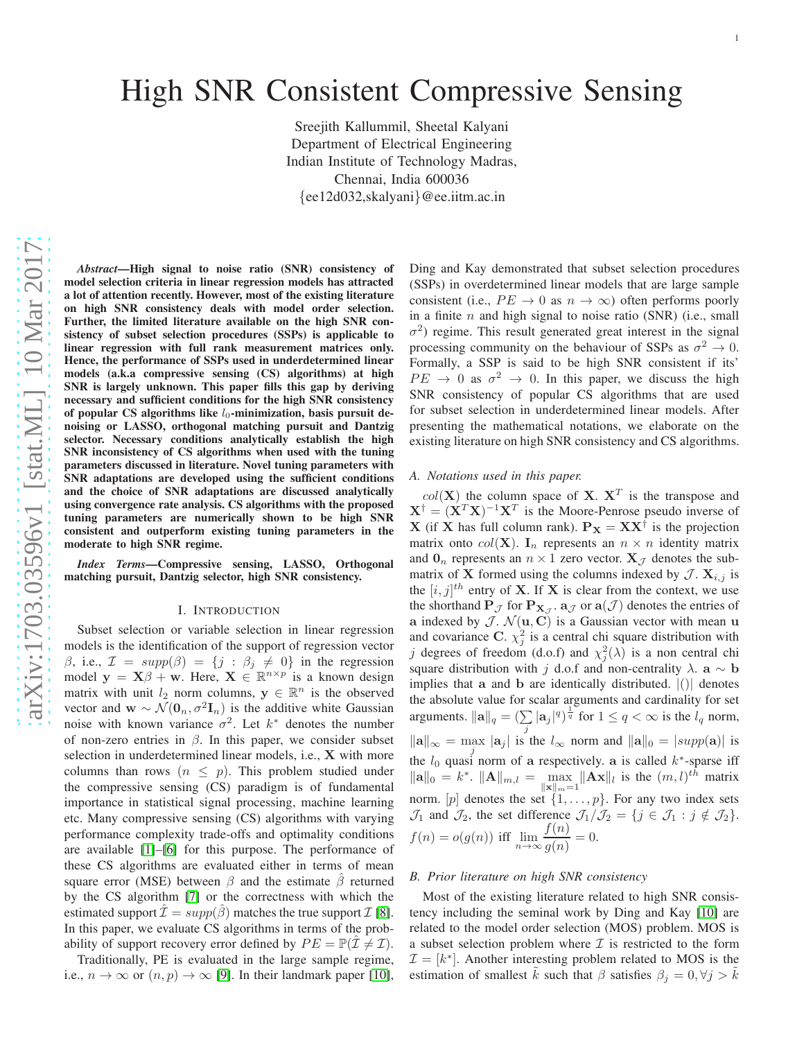# High SNR Consistent Compressive Sensing

Sreejith Kallummil, Sheetal Kalyani Department of Electrical Engineering Indian Institute of Technology Madras, Chennai, India 600036 {ee12d032,skalyani}@ee.iitm.ac.in

*Abstract*—High signal to noise ratio (SNR) consistency of model selection criteria in linear regression models has attracted a lot of attention recently. However, most of the existing literature on high SNR consistency deals with model order selection. Further, the limited literature available on the high SNR consistency of subset selection procedures (SSPs) is applicable to linear regression with full rank measurement matrices only. Hence, the performance of SSPs used in underdetermined linear models (a.k.a compressive sensing (CS) algorithms) at high SNR is largely unknown. This paper fills this gap by deriving necessary and sufficient conditions for the high SNR consistency of popular CS algorithms like  $l_0$ -minimization, basis pursuit denoising or LASSO, orthogonal matching pursuit and Dantzig selector. Necessary conditions analytically establish the high SNR inconsistency of CS algorithms when used with the tuning parameters discussed in literature. Novel tuning parameters with SNR adaptations are developed using the sufficient conditions and the choice of SNR adaptations are discussed analytically using convergence rate analysis. CS algorithms with the proposed tuning parameters are numerically shown to be high SNR consistent and outperform existing tuning parameters in the moderate to high SNR regime.

*Index Terms*—Compressive sensing, LASSO, Orthogonal matching pursuit, Dantzig selector, high SNR consistency.

#### I. INTRODUCTION

Subset selection or variable selection in linear regression models is the identification of the support of regression vector  $\beta$ , i.e.,  $\mathcal{I} = supp(\beta) = \{j : \beta_j \neq 0\}$  in the regression model  $y = X\beta + w$ . Here,  $X \in \mathbb{R}^{n \times p}$  is a known design matrix with unit  $l_2$  norm columns,  $y \in \mathbb{R}^n$  is the observed vector and  $\mathbf{w} \sim \mathcal{N}(\mathbf{0}_n, \sigma^2 \mathbf{I}_n)$  is the additive white Gaussian noise with known variance  $\sigma^2$ . Let  $k^*$  denotes the number of non-zero entries in  $\beta$ . In this paper, we consider subset selection in underdetermined linear models, i.e., X with more columns than rows  $(n \leq p)$ . This problem studied under the compressive sensing (CS) paradigm is of fundamental importance in statistical signal processing, machine learning etc. Many compressive sensing (CS) algorithms with varying performance complexity trade-offs and optimality conditions are available [\[1\]](#page-12-0)–[\[6\]](#page-12-1) for this purpose. The performance of these CS algorithms are evaluated either in terms of mean square error (MSE) between  $\beta$  and the estimate  $\hat{\beta}$  returned by the CS algorithm [\[7\]](#page-12-2) or the correctness with which the estimated support  $\mathcal{I} = supp(\hat{\beta})$  matches the true support  $\mathcal{I}$  [\[8\]](#page-12-3). In this paper, we evaluate CS algorithms in terms of the probability of support recovery error defined by  $PE = \mathbb{P}(\mathcal{I} \neq \mathcal{I}).$ 

Traditionally, PE is evaluated in the large sample regime, i.e.,  $n \to \infty$  or  $(n, p) \to \infty$  [\[9\]](#page-12-4). In their landmark paper [\[10\]](#page-12-5), Ding and Kay demonstrated that subset selection procedures (SSPs) in overdetermined linear models that are large sample consistent (i.e.,  $PE \rightarrow 0$  as  $n \rightarrow \infty$ ) often performs poorly in a finite  $n$  and high signal to noise ratio (SNR) (i.e., small  $\sigma^2$ ) regime. This result generated great interest in the signal processing community on the behaviour of SSPs as  $\sigma^2 \to 0$ . Formally, a SSP is said to be high SNR consistent if its'  $PE \rightarrow 0$  as  $\sigma^2 \rightarrow 0$ . In this paper, we discuss the high SNR consistency of popular CS algorithms that are used for subset selection in underdetermined linear models. After presenting the mathematical notations, we elaborate on the existing literature on high SNR consistency and CS algorithms.

# *A. Notations used in this paper.*

 $col(X)$  the column space of X.  $X<sup>T</sup>$  is the transpose and  $X^{\dagger} = (X^T X)^{-1} X^T$  is the Moore-Penrose pseudo inverse of **X** (if **X** has full column rank).  $P_X = XX^{\dagger}$  is the projection matrix onto  $col(X)$ . I<sub>n</sub> represents an  $n \times n$  identity matrix and  $\mathbf{0}_n$  represents an  $n \times 1$  zero vector.  $\mathbf{X}_{\mathcal{J}}$  denotes the submatrix of **X** formed using the columns indexed by  $\mathcal{J}$ .  $\mathbf{X}_{i,j}$  is the  $[i, j]$ <sup>th</sup> entry of **X**. If **X** is clear from the context, we use the shorthand  $\mathbf{P}_{\mathcal{J}}$  for  $\mathbf{P}_{\mathbf{X}_{\mathcal{J}}}$ .  $\mathbf{a}_{\mathcal{J}}$  or  $\mathbf{a}(\mathcal{J})$  denotes the entries of a indexed by  $\mathcal{J}$ .  $\mathcal{N}(\mathbf{u}, \mathbf{C})$  is a Gaussian vector with mean u and covariance C.  $\chi^2_j$  is a central chi square distribution with j degrees of freedom (d.o.f) and  $\chi_j^2(\lambda)$  is a non central chi square distribution with j d.o.f and non-centrality  $\lambda$ .  $\mathbf{a} \sim \mathbf{b}$ implies that a and b are identically distributed.  $|()|$  denotes the absolute value for scalar arguments and cardinality for set arguments.  $\|\mathbf{a}\|_q = (\sum |\mathbf{a}_j|^q)^{\frac{1}{q}}$  for  $1 \le q < \infty$  is the  $l_q$  norm,  $\|\mathbf{a}\|_{\infty} = \max_{i} |\mathbf{a}_j|$  is the  $l_{\infty}$  norm and  $\|\mathbf{a}\|_{0} = |supp(\mathbf{a})|$  is the  $l_0$  quasi norm of a respectively. a is called  $k^*$ -sparse iff  $\|\mathbf{a}\|_0 = k^*$ .  $\|\mathbf{A}\|_{m,l} = \max_{\|\mathbf{x}\|_m=1} \|\mathbf{A}\mathbf{x}\|_l$  is the  $(m, l)^{th}$  matrix norm. [p] denotes the set  $\{1, \ldots, p\}$ . For any two index sets  $\mathcal{J}_1$  and  $\mathcal{J}_2$ , the set difference  $\mathcal{J}_1/\mathcal{J}_2 = \{j \in \mathcal{J}_1 : j \notin \mathcal{J}_2\}.$  $f(n) = o(g(n))$  iff  $\lim_{n \to \infty} \frac{f(n)}{q(n)}$  $\frac{f^{(n)}}{g(n)} = 0.$ 

## *B. Prior literature on high SNR consistency*

Most of the existing literature related to high SNR consistency including the seminal work by Ding and Kay [\[10\]](#page-12-5) are related to the model order selection (MOS) problem. MOS is a subset selection problem where  $\mathcal I$  is restricted to the form  $\mathcal{I} = [k^*]$ . Another interesting problem related to MOS is the estimation of smallest  $\hat{k}$  such that  $\beta$  satisfies  $\beta_j = 0, \forall j > \hat{k}$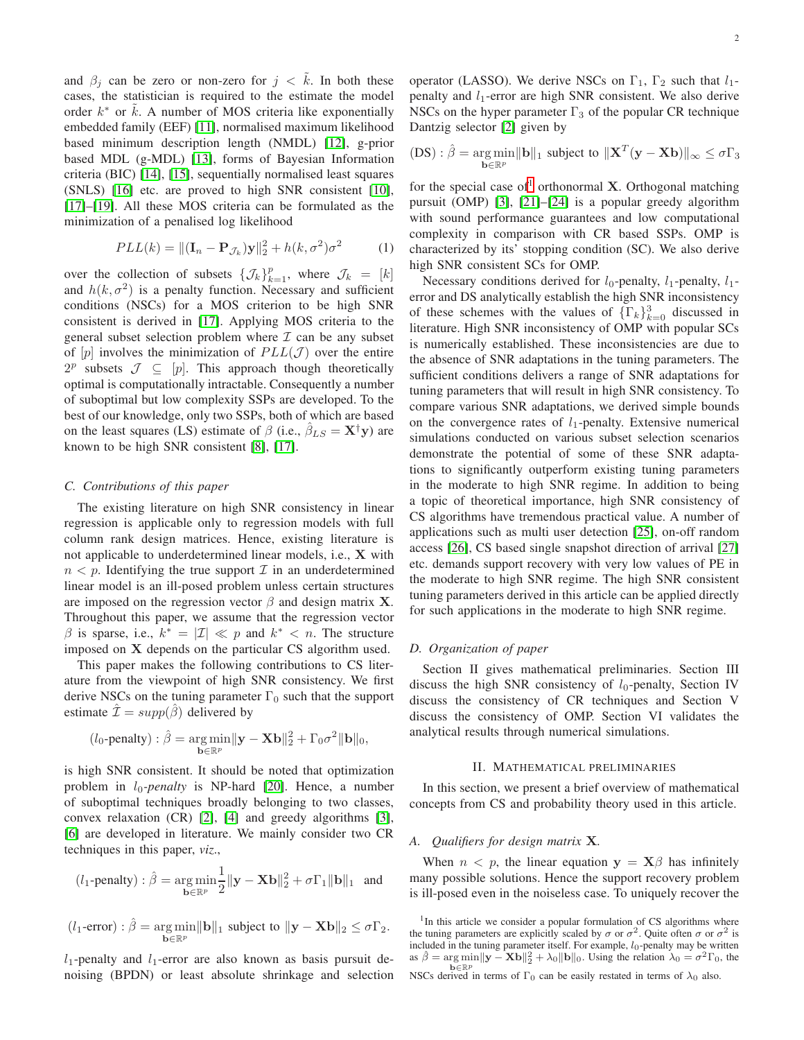and  $\beta_i$  can be zero or non-zero for  $j < \tilde{k}$ . In both these cases, the statistician is required to the estimate the model order  $k^*$  or  $\tilde{k}$ . A number of MOS criteria like exponentially embedded family (EEF) [\[11\]](#page-12-6), normalised maximum likelihood based minimum description length (NMDL) [\[12\]](#page-12-7), g-prior based MDL (g-MDL) [\[13\]](#page-12-8), forms of Bayesian Information criteria (BIC) [\[14\]](#page-12-9), [\[15\]](#page-12-10), sequentially normalised least squares (SNLS) [\[16\]](#page-12-11) etc. are proved to high SNR consistent [\[10\]](#page-12-5), [\[17\]](#page-12-12)–[\[19\]](#page-12-13). All these MOS criteria can be formulated as the minimization of a penalised log likelihood

<span id="page-1-1"></span>
$$
PLL(k) = ||(\mathbf{I}_n - \mathbf{P}_{\mathcal{J}_k})\mathbf{y}||_2^2 + h(k, \sigma^2)\sigma^2
$$
 (1)

over the collection of subsets  $\{\mathcal{J}_k\}_{k=1}^p$ , where  $\mathcal{J}_k = [k]$ and  $h(k, \sigma^2)$  is a penalty function. Necessary and sufficient conditions (NSCs) for a MOS criterion to be high SNR consistent is derived in [\[17\]](#page-12-12). Applying MOS criteria to the general subset selection problem where  $\mathcal I$  can be any subset of  $[p]$  involves the minimization of  $PLL(\mathcal{J})$  over the entire  $2^p$  subsets  $\mathcal{J} \subseteq [p]$ . This approach though theoretically optimal is computationally intractable. Consequently a number of suboptimal but low complexity SSPs are developed. To the best of our knowledge, only two SSPs, both of which are based on the least squares (LS) estimate of  $\beta$  (i.e.,  $\beta_{LS} = \mathbf{X}^{\dagger} \mathbf{y}$ ) are known to be high SNR consistent [\[8\]](#page-12-3), [\[17\]](#page-12-12).

#### *C. Contributions of this paper*

The existing literature on high SNR consistency in linear regression is applicable only to regression models with full column rank design matrices. Hence, existing literature is not applicable to underdetermined linear models, i.e., X with  $n < p$ . Identifying the true support  $\mathcal I$  in an underdetermined linear model is an ill-posed problem unless certain structures are imposed on the regression vector  $\beta$  and design matrix **X**. Throughout this paper, we assume that the regression vector  $\beta$  is sparse, i.e.,  $k^* = |\mathcal{I}| \ll p$  and  $k^* < n$ . The structure imposed on X depends on the particular CS algorithm used.

This paper makes the following contributions to CS literature from the viewpoint of high SNR consistency. We first derive NSCs on the tuning parameter  $\Gamma_0$  such that the support estimate  $\mathcal{I} = supp(\hat{\beta})$  delivered by

$$
(l_0\text{-penalty}) : \hat{\beta} = \underset{\mathbf{b} \in \mathbb{R}^p}{\arg\min} \|\mathbf{y} - \mathbf{X}\mathbf{b}\|_2^2 + \Gamma_0 \sigma^2 \|\mathbf{b}\|_0,
$$

is high SNR consistent. It should be noted that optimization problem in  $l_0$ -penalty is NP-hard [\[20\]](#page-12-14). Hence, a number of suboptimal techniques broadly belonging to two classes, convex relaxation (CR) [\[2\]](#page-12-15), [\[4\]](#page-12-16) and greedy algorithms [\[3\]](#page-12-17), [\[6\]](#page-12-1) are developed in literature. We mainly consider two CR techniques in this paper, *viz*.,

$$
(l_1\text{-penalty}): \hat{\beta} = \underset{\mathbf{b}\in\mathbb{R}^p}{\arg\min} \frac{1}{2} \|\mathbf{y} - \mathbf{X}\mathbf{b}\|_2^2 + \sigma \Gamma_1 \|\mathbf{b}\|_1 \text{ and}
$$

$$
(l_1\text{-error}) : \hat{\beta} = \underset{\mathbf{b} \in \mathbb{R}^p}{\arg \min} ||\mathbf{b}||_1 \text{ subject to } ||\mathbf{y} - \mathbf{X}\mathbf{b}||_2 \leq \sigma \Gamma_2.
$$

 $l_1$ -penalty and  $l_1$ -error are also known as basis pursuit denoising (BPDN) or least absolute shrinkage and selection operator (LASSO). We derive NSCs on  $\Gamma_1$ ,  $\Gamma_2$  such that  $l_1$ penalty and  $l_1$ -error are high SNR consistent. We also derive NSCs on the hyper parameter  $\Gamma_3$  of the popular CR technique Dantzig selector [\[2\]](#page-12-15) given by

$$
(DS): \hat{\beta} = \underset{\mathbf{b} \in \mathbb{R}^p}{\arg \min} ||\mathbf{b}||_1 \text{ subject to } ||\mathbf{X}^T(\mathbf{y} - \mathbf{X}\mathbf{b})||_{\infty} \leq \sigma \Gamma_3
$$

for the special case of<sup>[1](#page-1-0)</sup> orthonormal **X**. Orthogonal matching pursuit (OMP) [\[3\]](#page-12-17), [\[21\]](#page-12-18)–[\[24\]](#page-12-19) is a popular greedy algorithm with sound performance guarantees and low computational complexity in comparison with CR based SSPs. OMP is characterized by its' stopping condition (SC). We also derive high SNR consistent SCs for OMP.

Necessary conditions derived for  $l_0$ -penalty,  $l_1$ -penalty,  $l_1$ error and DS analytically establish the high SNR inconsistency of these schemes with the values of  $\{\Gamma_k\}_{k=0}^3$  discussed in literature. High SNR inconsistency of OMP with popular SCs is numerically established. These inconsistencies are due to the absence of SNR adaptations in the tuning parameters. The sufficient conditions delivers a range of SNR adaptations for tuning parameters that will result in high SNR consistency. To compare various SNR adaptations, we derived simple bounds on the convergence rates of  $l_1$ -penalty. Extensive numerical simulations conducted on various subset selection scenarios demonstrate the potential of some of these SNR adaptations to significantly outperform existing tuning parameters in the moderate to high SNR regime. In addition to being a topic of theoretical importance, high SNR consistency of CS algorithms have tremendous practical value. A number of applications such as multi user detection [\[25\]](#page-12-20), on-off random access [\[26\]](#page-12-21), CS based single snapshot direction of arrival [\[27\]](#page-12-22) etc. demands support recovery with very low values of PE in the moderate to high SNR regime. The high SNR consistent tuning parameters derived in this article can be applied directly for such applications in the moderate to high SNR regime.

## *D. Organization of paper*

Section II gives mathematical preliminaries. Section III discuss the high SNR consistency of  $l_0$ -penalty, Section IV discuss the consistency of CR techniques and Section V discuss the consistency of OMP. Section VI validates the analytical results through numerical simulations.

# II. MATHEMATICAL PRELIMINARIES

In this section, we present a brief overview of mathematical concepts from CS and probability theory used in this article.

#### *A. Qualifiers for design matrix* X*.*

When  $n < p$ , the linear equation  $y = X\beta$  has infinitely many possible solutions. Hence the support recovery problem is ill-posed even in the noiseless case. To uniquely recover the

<span id="page-1-0"></span><sup>&</sup>lt;sup>1</sup>In this article we consider a popular formulation of CS algorithms where the tuning parameters are explicitly scaled by  $\sigma$  or  $\sigma^2$ . Quite often  $\sigma$  or  $\sigma^2$  is included in the tuning parameter itself. For example,  $l_0$ -penalty may be written as  $\hat{\beta} = \underset{\mathbf{b} \in \mathbb{R}^p}{\arg \min} ||\mathbf{y} - \mathbf{X} \mathbf{b}||_2^2 + \lambda_0 ||\mathbf{b}||_0$ . Using the relation  $\lambda_0 = \sigma^2 \Gamma_0$ , the NSCs derived in terms of  $\Gamma_0$  can be easily restated in terms of  $\lambda_0$  also.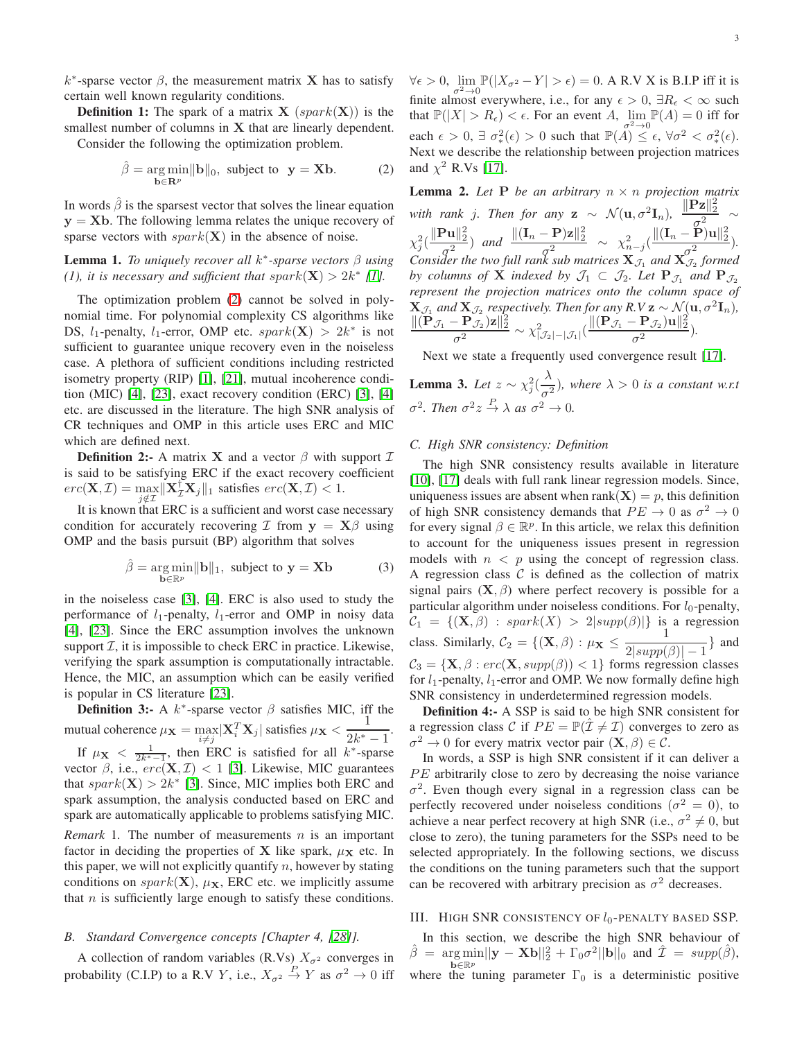**Definition 1:** The spark of a matrix  $X$  (spark(X)) is the smallest number of columns in  $X$  that are linearly dependent.

Consider the following the optimization problem.

<span id="page-2-0"></span>
$$
\hat{\beta} = \underset{\mathbf{b} \in \mathbf{R}^p}{\arg \min} \|\mathbf{b}\|_0, \text{ subject to } \mathbf{y} = \mathbf{X}\mathbf{b}.
$$
 (2)

In words  $\hat{\beta}$  is the sparsest vector that solves the linear equation  $y = Xb$ . The following lemma relates the unique recovery of sparse vectors with  $spark(X)$  in the absence of noise.

# Lemma 1. *To uniquely recover all* k ∗ *-sparse vectors* β *using (1), it is necessary and sufficient that spark* $(X) > 2k^*$  [\[1\]](#page-12-0)*.*

The optimization problem [\(2\)](#page-2-0) cannot be solved in polynomial time. For polynomial complexity CS algorithms like DS,  $l_1$ -penalty,  $l_1$ -error, OMP etc.  $spark(X) > 2k^*$  is not sufficient to guarantee unique recovery even in the noiseless case. A plethora of sufficient conditions including restricted isometry property (RIP) [\[1\]](#page-12-0), [\[21\]](#page-12-18), mutual incoherence condition (MIC) [\[4\]](#page-12-16), [\[23\]](#page-12-23), exact recovery condition (ERC) [\[3\]](#page-12-17), [\[4\]](#page-12-16) etc. are discussed in the literature. The high SNR analysis of CR techniques and OMP in this article uses ERC and MIC which are defined next.

**Definition 2:-** A matrix **X** and a vector  $\beta$  with support  $\mathcal{I}$ is said to be satisfying ERC if the exact recovery coefficient  $erc(\mathbf{X}, \mathcal{I}) = \max_{i \in \mathcal{I}} \|\mathbf{X}_{\mathcal{I}}^{\dagger} \mathbf{X}_{j}\|_{1}$  satisfies  $erc(\mathbf{X}, \mathcal{I}) < 1$ .

It is known that ERC is a sufficient and worst case necessary condition for accurately recovering  $\mathcal I$  from  $y = X\beta$  using OMP and the basis pursuit (BP) algorithm that solves

<span id="page-2-3"></span>
$$
\hat{\beta} = \underset{\mathbf{b} \in \mathbb{R}^p}{\arg \min} \|\mathbf{b}\|_1, \text{ subject to } \mathbf{y} = \mathbf{X}\mathbf{b} \tag{3}
$$

in the noiseless case [\[3\]](#page-12-17), [\[4\]](#page-12-16). ERC is also used to study the performance of  $l_1$ -penalty,  $l_1$ -error and OMP in noisy data [\[4\]](#page-12-16), [\[23\]](#page-12-23). Since the ERC assumption involves the unknown support  $I$ , it is impossible to check ERC in practice. Likewise, verifying the spark assumption is computationally intractable. Hence, the MIC, an assumption which can be easily verified is popular in CS literature [\[23\]](#page-12-23).

**Definition 3:-** A  $k^*$ -sparse vector  $\beta$  satisfies MIC, iff the mutual coherence  $\mu_{\mathbf{X}} = \max_{i \neq j} |\mathbf{X}_i^T \mathbf{X}_j|$  satisfies  $\mu_{\mathbf{X}} < \frac{1}{2k^*}$  $\frac{1}{2k^*-1}$ . If  $\mu_X < \frac{1}{2k^*-1}$ , then ERC is satisfied for all  $k^*$ -sparse vector  $\beta$ , i.e.,  $erc(\mathbf{X}, \mathcal{I}) < 1$  [\[3\]](#page-12-17). Likewise, MIC guarantees that  $spark(X) > 2k^*$  [\[3\]](#page-12-17). Since, MIC implies both ERC and spark assumption, the analysis conducted based on ERC and spark are automatically applicable to problems satisfying MIC. *Remark* 1. The number of measurements  $n$  is an important factor in deciding the properties of X like spark,  $\mu_X$  etc. In this paper, we will not explicitly quantify  $n$ , however by stating conditions on  $spark(X), \mu_X$ , ERC etc. we implicitly assume that  $n$  is sufficiently large enough to satisfy these conditions.

# *B. Standard Convergence concepts [Chapter 4, [\[28\]](#page-12-24)].*

A collection of random variables (R.Vs)  $X_{\sigma^2}$  converges in probability (C.I.P) to a R.V Y, i.e.,  $X_{\sigma^2} \stackrel{P}{\to} Y$  as  $\sigma^2 \to 0$  iff

 $\forall \epsilon > 0$ ,  $\lim_{\sigma^2 \to 0} \mathbb{P}(|X_{\sigma^2} - Y| > \epsilon) = 0$ . A R.V X is B.I.P iff it is finite almost everywhere, i.e., for any  $\epsilon > 0$ ,  $\exists R_{\epsilon} < \infty$  such that  $\mathbb{P}(|X| > R_{\epsilon}) < \epsilon$ . For an event A,  $\lim_{\tau \to 0} \mathbb{P}(A) = 0$  iff for each  $\epsilon > 0$ ,  $\exists \sigma^2_*(\epsilon) > 0$  such that  $\mathbb{P}(A) \leq \epsilon$ ,  $\forall \sigma^2 < \sigma^2_*(\epsilon)$ . Next we describe the relationship between projection matrices and  $\chi^2$  R.Vs [\[17\]](#page-12-12).

<span id="page-2-1"></span>**Lemma 2.** Let  $P$  be an arbitrary  $n \times n$  projection matrix *with rank j. Then for any*  $\mathbf{z} \sim \mathcal{N}(\mathbf{u}, \sigma^2 \mathbf{I}_n)$ ,  $\frac{\|\mathbf{Pz}\|_2^2}{\sigma^2}$  $\frac{\sigma^2}{\sigma^2}$  ~  $\chi_j^2(\frac{\|\mathbf{Pu}\|_2^2}{\sigma^2})$  $\frac{\|{\bf P} {\bf u}\|_2^2}{\sigma^2}$  and  $\frac{\|({\bf I}_n - {\bf P}) {\bf z}\|_2^2}{\sigma^2}$  $\frac{(-\mathbf{P})\mathbf{z}\|_2^2}{\sigma^2} \sim \frac{\chi^2_{n-j}}{\mathbf{y}} \frac{\|(\mathbf{I}_n - \mathbf{P})\mathbf{u}\|_2^2}{\sigma^2}$  $\frac{1}{\sigma^2}$ . *Consider the two full rank sub matrices*  $\mathbf{X}_{\mathcal{J}_1}$  *and*  $\mathbf{X}_{\mathcal{J}_2}$  *formed by columns of* **X** *indexed by*  $\mathcal{J}_1 \subset \mathcal{J}_2$ *. Let*  $\mathbf{P}_{\mathcal{J}_1}$  *and*  $\mathbf{P}_{\mathcal{J}_2}$ *represent the projection matrices onto the column space of*  $X_{\mathcal{J}_1}$  *and*  $X_{\mathcal{J}_2}$  *respectively. Then for any R.V*  $z \sim \mathcal{N}(\mathbf{u}, \sigma^2 \mathbf{I}_n)$ *,*  $\|(\mathbf{P}_{\mathcal{J}_1} - \mathbf{P}_{\mathcal{J}_2}^{\top})\mathbf{z}\|_2^2$  $\frac{1}{\sigma^2}\frac{\mathbf{p}^\top \mathbf{z}_2}{\mathbf{z}\|\mathbf{z}\|^2_2} \sim \chi^2_{|\mathcal{J}_2|-|\mathcal{J}_1|}(\frac{\|(\mathbf{p}_{\mathcal{J}_1}-\mathbf{p}_{\mathcal{J}_2})\mathbf{u}\|_2^2}{\sigma^2})$  $\frac{1}{\sigma^2}$ .

Next we state a frequently used convergence result [\[17\]](#page-12-12).

<span id="page-2-2"></span>**Lemma 3.** Let  $z \sim \chi_j^2(\frac{\lambda}{\sigma^2})$  $\frac{\partial}{\partial z}$ , where  $\lambda > 0$  is a constant w.r.t  $\sigma^2$ *. Then*  $\sigma^2 z \stackrel{P}{\rightarrow} \lambda$  *as*  $\sigma^2 \rightarrow 0$ *.* 

#### *C. High SNR consistency: Definition*

The high SNR consistency results available in literature [\[10\]](#page-12-5), [\[17\]](#page-12-12) deals with full rank linear regression models. Since, uniqueness issues are absent when rank( $X$ ) = p, this definition of high SNR consistency demands that  $PE \rightarrow 0$  as  $\sigma^2 \rightarrow 0$ for every signal  $\beta \in \mathbb{R}^p$ . In this article, we relax this definition to account for the uniqueness issues present in regression models with  $n < p$  using the concept of regression class. A regression class  $\mathcal C$  is defined as the collection of matrix signal pairs  $(X, \beta)$  where perfect recovery is possible for a particular algorithm under noiseless conditions. For  $l_0$ -penalty,  $\mathcal{C}_1 = \{ (\mathbf{X}, \beta) : spark(X) > 2 | supp(\beta) | \}$  is a regression class. Similarly,  $C_2 = \{(\mathbf{X}, \beta) : \mu \mathbf{x} \leq \frac{1}{2|\text{sum}|} \}$  $\frac{1}{2|\text{supp}(\beta)|-1}$  and  $C_3 = \{X, \beta : \text{erc}(X, \text{supp}(\beta)) < 1\}$  forms regression classes for  $l_1$ -penalty,  $l_1$ -error and OMP. We now formally define high SNR consistency in underdetermined regression models.

Definition 4:- A SSP is said to be high SNR consistent for a regression class C if  $PE = \mathbb{P}(\mathcal{I} \neq \mathcal{I})$  converges to zero as  $\sigma^2 \to 0$  for every matrix vector pair  $(\mathbf{X}, \beta) \in \mathcal{C}$ .

In words, a SSP is high SNR consistent if it can deliver a  $PE$  arbitrarily close to zero by decreasing the noise variance  $\sigma^2$ . Even though every signal in a regression class can be perfectly recovered under noiseless conditions ( $\sigma^2 = 0$ ), to achieve a near perfect recovery at high SNR (i.e.,  $\sigma^2 \neq 0$ , but close to zero), the tuning parameters for the SSPs need to be selected appropriately. In the following sections, we discuss the conditions on the tuning parameters such that the support can be recovered with arbitrary precision as  $\sigma^2$  decreases.

## III. HIGH SNR CONSISTENCY OF  $l_0$ -PENALTY BASED SSP.

In this section, we describe the high SNR behaviour of  $\hat{\beta} = \underset{\mathbf{b} \in \mathbb{R}^n}{\arg \min} ||\mathbf{y} - \mathbf{X} \mathbf{b}||_2^2 + \Gamma_0 \sigma^2 ||\mathbf{b}||_0$  and  $\hat{\mathcal{I}} = \sup p(\hat{\beta}),$ b∈R<sup>p</sup> where the tuning parameter  $\Gamma_0$  is a deterministic positive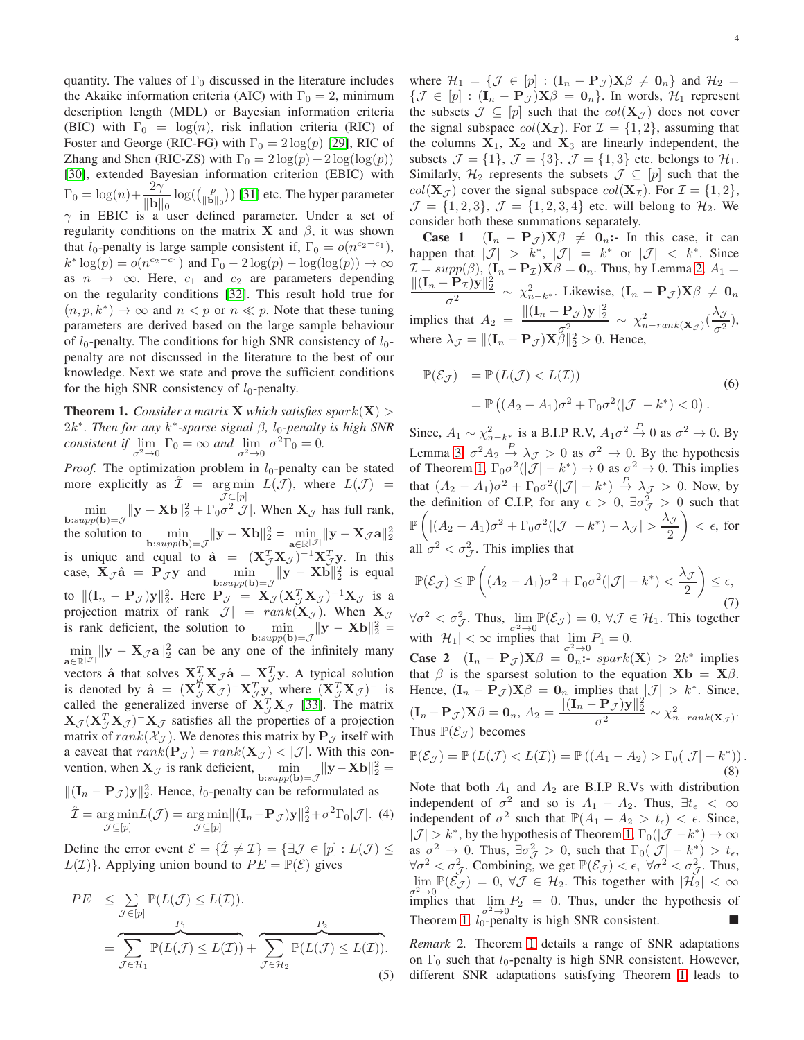quantity. The values of  $\Gamma_0$  discussed in the literature includes the Akaike information criteria (AIC) with  $\Gamma_0 = 2$ , minimum description length (MDL) or Bayesian information criteria (BIC) with  $\Gamma_0 = \log(n)$ , risk inflation criteria (RIC) of Foster and George (RIC-FG) with  $\Gamma_0 = 2 \log(p)$  [\[29\]](#page-12-25), RIC of Zhang and Shen (RIC-ZS) with  $\Gamma_0 = 2 \log(p) + 2 \log(\log(p))$ [\[30\]](#page-12-26), extended Bayesian information criterion (EBIC) with  $\Gamma_0 = \log(n) + \frac{2\gamma}{\|\mathbf{b}\|}$  $\|\mathbf{b}\|_0$  $\log(\binom{p}{\|\mathbf{b}\|_0})$  [\[31\]](#page-12-27) etc. The hyper parameter  $\gamma$  in EBIC is a user defined parameter. Under a set of regularity conditions on the matrix **X** and  $\beta$ , it was shown that  $l_0$ -penalty is large sample consistent if,  $\Gamma_0 = o(n^{c_2-c_1})$ ,  $k^* \log(p) = o(n^{c_2-c_1})$  and  $\Gamma_0 - 2 \log(p) - \log(\log(p)) \to \infty$ as  $n \rightarrow \infty$ . Here,  $c_1$  and  $c_2$  are parameters depending on the regularity conditions [\[32\]](#page-12-28). This result hold true for  $(n, p, k^*) \to \infty$  and  $n < p$  or  $n \ll p$ . Note that these tuning parameters are derived based on the large sample behaviour of  $l_0$ -penalty. The conditions for high SNR consistency of  $l_0$ penalty are not discussed in the literature to the best of our knowledge. Next we state and prove the sufficient conditions for the high SNR consistency of  $l_0$ -penalty.

<span id="page-3-0"></span>**Theorem 1.** *Consider a matrix* **X** *which satisfies*  $spark(X)$  $2k<sup>∗</sup>$ *. Then for any*  $k<sup>∗</sup>$ -sparse signal β, l<sub>0</sub>-penalty is high SNR *consistent if*  $\lim_{\sigma^2 \to 0} \Gamma_0 = \infty$  *and*  $\lim_{\sigma^2 \to 0} \sigma^2 \Gamma_0 = 0$ .

*Proof.* The optimization problem in  $l_0$ -penalty can be stated more explicitly as  $\hat{\mathcal{I}} = \underset{\mathcal{I} \subset \{1\}}{\arg \min} L(\mathcal{J})$ , where  $L(\mathcal{J}) =$  $\mathcal{J} \subset [p]$  $\min_{\mathbf{b}: supp(\mathbf{b})=\mathcal{J}} \|\mathbf{y}-\mathbf{X}\mathbf{b}\|_2^2 + \Gamma_0 \sigma^2 |\mathcal{J}|$ . When  $\mathbf{X}_{\mathcal{J}}$  has full rank, the solution to  $\min_{\mathbf{b}: supp(\mathbf{b})=\mathcal{J}} \|\mathbf{y}-\mathbf{X}\mathbf{b}\|_2^2 = \min_{\mathbf{a}\in\mathbb{R}|\mathcal{J}|} \|\mathbf{y}-\mathbf{X}_{\mathcal{J}}\mathbf{a}\|_2^2$ is unique and equal to  $\hat{\mathbf{a}} = (\mathbf{X}_{\mathcal{J}}^T \mathbf{X}_{\mathcal{J}})^{-1} \mathbf{X}_{\mathcal{J}}^T \mathbf{y}$ . In this case,  $X_{\mathcal{J}}\hat{a} = P_{\mathcal{J}}y$  and  $\min_{b:supp(b)=\mathcal{J}} ||y - Xb||_2^2$  is equal to  $||(I_n - P_{J})y||_2^2$ . Here  $P_{J} = X_{J} (X_{J}^{T} X_{J})^{-1} X_{J}$  is a projection matrix of rank  $|\mathcal{J}| = rank(\mathbf{X}_{\mathcal{J}})$ . When  $\mathbf{X}_{\mathcal{J}}$ is rank deficient, the solution to  $\min_{\mathbf{b}: supp(\mathbf{b})=\mathcal{J}} \|\mathbf{y}-\mathbf{X}\mathbf{b}\|_2^2 =$  $\min_{\mathbf{a}\in\mathbb{R}^{|\mathcal{J}|}}\|\mathbf{y}-\mathbf{X}_{\mathcal{J}}\mathbf{a}\|_{2}^{2}$  can be any one of the infinitely many vectors â that solves  $X_{\mathcal{J}}^T X_{\mathcal{J}} \hat{a} = X_{\mathcal{J}}^T y$ . A typical solution is denoted by  $\hat{\mathbf{a}} = (\mathbf{X}_{\mathcal{J}}^T \mathbf{X}_{\mathcal{J}})^{-1} \mathbf{X}_{\mathcal{J}}^T \mathbf{y}$ , where  $(\mathbf{X}_{\mathcal{J}}^T \mathbf{X}_{\mathcal{J}})^{-1}$  is called the generalized inverse of  $X_{\mathcal{J}}^T X_{\mathcal{J}}$  [\[33\]](#page-12-29). The matrix  $\mathbf{X}_{\mathcal{J}} (\mathbf{X}_{\mathcal{J}}^T \mathbf{X}_{\mathcal{J}})^{-1} \mathbf{X}_{\mathcal{J}}$  satisfies all the properties of a projection matrix of  $rank(X_{\mathcal{J}})$ . We denotes this matrix by  $\mathbf{P}_{\mathcal{J}}$  itself with a caveat that  $rank(\mathbf{P}_{\mathcal{J}}) = rank(\mathbf{X}_{\mathcal{J}}) < |\mathcal{J}|$ . With this convention, when  $\mathbf{X}_{\mathcal{J}}$  is rank deficient,  $\min_{\mathbf{b}: supp(\mathbf{b})=\mathcal{J}} \|\mathbf{y}-\mathbf{X}\mathbf{b}\|_2^2 =$  $||(I_n - P_{\mathcal{J}})y||_2^2$ . Hence, l<sub>0</sub>-penalty can be reformulated as  $\hat{\mathcal{I}} = \underset{\boldsymbol{\mathcal{I}} \subset \{1,1\}}{\arg \min} L(\boldsymbol{\mathcal{J}}) = \underset{\boldsymbol{\mathcal{I}} \subset \{1,1\}}{\arg \min} ||(\mathbf{I}_n - \mathbf{P}_{\boldsymbol{\mathcal{J}}}) \mathbf{y}||_2^2 + \sigma^2 \Gamma_0 |\boldsymbol{\mathcal{J}}|.$  (4)  $\mathcal{J}\subseteq[p]$  $\mathcal{J} \subseteq [p]$ 

<span id="page-3-1"></span>Define the error event  $\mathcal{E} = {\mathcal{I} \neq \mathcal{I}} = {\exists \mathcal{J} \in [p] : L(\mathcal{J}) \leq \mathcal{I}}$  $L(\mathcal{I})\}$ . Applying union bound to  $PE = \mathbb{P}(\mathcal{E})$  gives

$$
PE \leq \sum_{\mathcal{J}\in[p]} \mathbb{P}(L(\mathcal{J}) \leq L(\mathcal{I})).
$$
  
= 
$$
\sum_{\mathcal{J}\in\mathcal{H}_1} \mathbb{P}(L(\mathcal{J}) \leq L(\mathcal{I})) + \sum_{\mathcal{J}\in\mathcal{H}_2} \mathbb{P}(L(\mathcal{J}) \leq L(\mathcal{I})).
$$
 (5)

where  $\mathcal{H}_1 = \{ \mathcal{J} \in [p] : (\mathbf{I}_n - \mathbf{P}_{\mathcal{J}}) \mathbf{X} \beta \neq \mathbf{0}_n \}$  and  $\mathcal{H}_2 =$  $\{\mathcal{J} \in [p] : (\mathbf{I}_n - \mathbf{P}_{\mathcal{J}}) \mathbf{X} \boldsymbol{\beta} = \mathbf{0}_n\}.$  In words,  $\mathcal{H}_1$  represent the subsets  $\mathcal{J} \subseteq [p]$  such that the  $col(\mathbf{X}_{\mathcal{J}})$  does not cover the signal subspace  $col(\mathbf{X}_{\mathcal{I}})$ . For  $\mathcal{I} = \{1, 2\}$ , assuming that the columns  $X_1$ ,  $X_2$  and  $X_3$  are linearly independent, the subsets  $\mathcal{J} = \{1\}$ ,  $\mathcal{J} = \{3\}$ ,  $\mathcal{J} = \{1,3\}$  etc. belongs to  $\mathcal{H}_1$ . Similarly,  $\mathcal{H}_2$  represents the subsets  $\mathcal{J} \subseteq [p]$  such that the  $col(\mathbf{X}_{\mathcal{I}})$  cover the signal subspace  $col(\mathbf{X}_{\mathcal{I}})$ . For  $\mathcal{I} = \{1, 2\},$  $\mathcal{J} = \{1, 2, 3\}, \mathcal{J} = \{1, 2, 3, 4\}$  etc. will belong to  $\mathcal{H}_2$ . We consider both these summations separately.

**Case 1**  $(I_n - P_{\mathcal{J}})X\beta \neq 0_n$ :- In this case, it can happen that  $|\mathcal{J}| > k^*$ ,  $|\mathcal{J}| = k^*$  or  $|\mathcal{J}| < k^*$ . Since  $\mathcal{I} = \text{supp}(\beta), [\mathbf{I}_n - \mathbf{P}_{\mathcal{I}}) \mathbf{X} \beta = \mathbf{0}_n$ . Thus, by Lemma [2,](#page-2-1)  $A_1 =$  $\|(\mathbf{I}_n - \mathbf{P}_{\mathcal{I}})\mathbf{y}\|_2^2$ σ  $\frac{1}{2} \frac{\gamma}{2} \frac{1}{2} \times \chi^2_{n-k^*}$ . Likewise,  $(I_n - P_{\mathcal{J}}) \mathbf{X} \beta \neq \mathbf{0}_n$ implies that  $A_2 = \frac{\|(\mathbf{I}_n - \mathbf{P}_{\mathcal{J}})\mathbf{y}\|_2^2}{2}$  $\frac{\|\mathbf{P}_{\mathcal{J}}(\mathbf{y})\|_2^2}{\sigma_{\mathbf{q}}^2} \sim \chi^2_{n-rank(\mathbf{X}_{\mathcal{J}})}(\frac{\lambda_{\mathcal{J}}}{\sigma^2})$  $\frac{\partial}{\partial^2}$ ), where  $\lambda_{\mathcal{J}} = ||(\mathbf{I}_n - \mathbf{P}_{\mathcal{J}})\mathbf{X}\tilde{\beta}||_2^2 > 0$ . Hence,

$$
\mathbb{P}(\mathcal{E}_{\mathcal{J}}) = \mathbb{P}\left(L(\mathcal{J}) < L(\mathcal{I})\right) \tag{6}
$$
\n
$$
= \mathbb{P}\left((A_2 - A_1)\sigma^2 + \Gamma_0\sigma^2(|\mathcal{J}| - k^*) < 0\right).
$$

Since,  $A_1 \sim \chi^2_{n-k_{\perp}^*}$  is a B.I.P R.V,  $A_1 \sigma^2 \stackrel{P}{\rightarrow} 0$  as  $\sigma^2 \rightarrow 0$ . By Lemma [3,](#page-2-2)  $\sigma^2 A_2 \stackrel{P}{\rightarrow} \lambda_{\mathcal{J}} > 0$  as  $\sigma^2 \rightarrow 0$ . By the hypothesis of Theorem [1,](#page-3-0)  $\Gamma_0 \sigma^2(|\mathcal{J}| - k^*) \to 0$  as  $\sigma^2 \to 0$ . This implies that  $(A_2 - A_1)\sigma^2 + \Gamma_0 \sigma^2 (|\mathcal{J}| - k^*) \stackrel{P}{\rightarrow} \lambda_{\mathcal{J}} > 0$ . Now, by the definition of C.I.P, for any  $\epsilon > 0$ ,  $\exists \sigma_{\mathcal{J}}^2 > 0$  such that  $\mathbb{P}\left(\left| (A_2-A_1)\sigma^2+\Gamma_0\sigma^2(|\mathcal{J}|-k^*)-\lambda_{\mathcal{J}}\right|>\frac{\lambda_{\mathcal{J}}}{2}\right)$ 2  $\Big\} < \epsilon$ , for all  $\sigma^2 < \sigma_{\mathcal{J}}^2$ . This implies that

$$
\mathbb{P}(\mathcal{E}_{\mathcal{J}}) \le \mathbb{P}\left((A_2 - A_1)\sigma^2 + \Gamma_0\sigma^2(|\mathcal{J}| - k^*) < \frac{\lambda_{\mathcal{J}}}{2}\right) \le \epsilon,\tag{7}
$$

 $\forall \sigma^2 < \sigma_{\mathcal{J}}^2$ . Thus,  $\lim_{\sigma^2 \to 0} \mathbb{P}(\mathcal{E}_{\mathcal{J}}) = 0$ ,  $\forall \mathcal{J} \in \mathcal{H}_1$ . This together with  $|\mathcal{H}_1| < \infty$  implies that  $\lim_{\sigma^2 \to 0} P_1 = 0$ .

**Case** 2  $(I_n - P_{\mathcal{J}})X\beta = 0_n$ : spark(X) > 2k<sup>\*</sup> implies that  $\beta$  is the sparsest solution to the equation  $\mathbf{X}\mathbf{b} = \mathbf{X}\beta$ . Hence,  $(I_n - P_{\mathcal{J}})X\beta = 0_n$  implies that  $|\mathcal{J}| > k^*$ . Since,  $(\mathbf{I}_n - \mathbf{P}_{\mathcal{J}})\mathbf{X}\beta = \mathbf{0}_n, A_2 = \frac{\|(\mathbf{I}_n - \mathbf{P}_{\mathcal{J}})\mathbf{y}\|_2^2}{\sigma^2}$  $\frac{1}{\sigma^2} \frac{\mathcal{J} \mathcal{J} \mathcal{J} \|_2}{\sim \chi^2_{n-rank(\mathbf{X}_{\mathcal{J}})}.}$ Thus  $\mathbb{P}(\mathcal{E}_{\mathcal{T}})$  becomes

$$
\mathbb{P}(\mathcal{E}_{\mathcal{J}}) = \mathbb{P}\left(L(\mathcal{J}) < L(\mathcal{I})\right) = \mathbb{P}\left((A_1 - A_2) > \Gamma_0(|\mathcal{J}| - k^*)\right). \tag{8}
$$

Note that both  $A_1$  and  $A_2$  are B.I.P R.Vs with distribution independent of  $\sigma^2$  and so is  $A_1 - A_2$ . Thus,  $\exists t_{\epsilon} < \infty$ independent of  $\sigma^2$  such that  $\mathbb{P}(A_1 - A_2 > t_{\epsilon}) < \epsilon$ . Since,  $|\mathcal{J}| > k^*$ , by the hypothesis of Theorem [1,](#page-3-0)  $\Gamma_0(|\mathcal{J}| - k^*) \to \infty$ as  $\sigma^2 \to 0$ . Thus,  $\exists \sigma^2_{\mathcal{J}} > 0$ , such that  $\Gamma_0(|\mathcal{J}| - k^*) > t_{\epsilon}$ ,  $\forall \sigma^2 < \sigma_{\mathcal{J}}^2$ . Combining, we get  $\mathbb{P}(\mathcal{E}_{\mathcal{J}}) < \epsilon$ ,  $\forall \sigma^2 < \sigma_{\mathcal{J}}^2$ . Thus,  $\lim_{n \to \infty} \mathbb{P}(\mathcal{E}_{\mathcal{J}}) = 0, \forall \mathcal{J} \in \mathcal{H}_2$ . This together with  $|\mathcal{H}_2| < \infty$ o<sup>2</sup> →0<br>
implies that  $\lim_{\sigma^2 \to 0} P_2 = 0$ . Thus, under the hypothesis of Theorem [1,](#page-3-0)  $l_0$ -penalty is high SNR consistent.

*Remark* 2*.* Theorem [1](#page-3-0) details a range of SNR adaptations on  $\Gamma_0$  such that  $l_0$ -penalty is high SNR consistent. However, different SNR adaptations satisfying Theorem [1](#page-3-0) leads to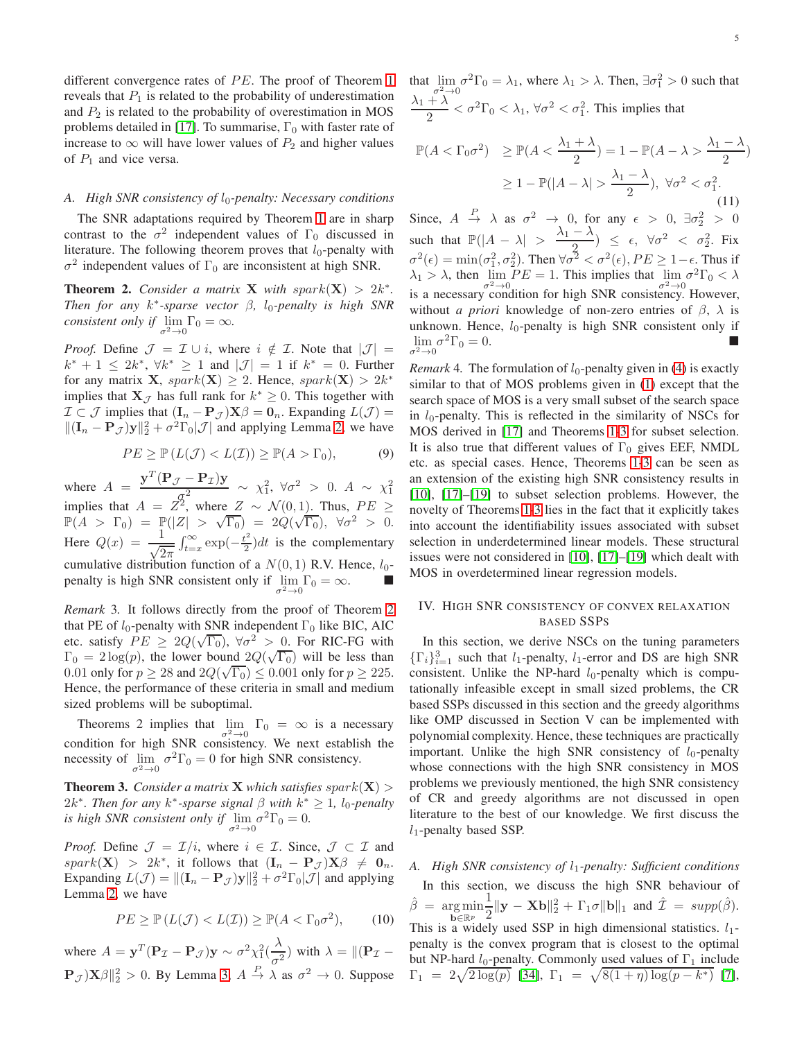different convergence rates of  $PE$ . The proof of Theorem [1](#page-3-0) reveals that  $P_1$  is related to the probability of underestimation and  $P_2$  is related to the probability of overestimation in MOS problems detailed in [\[17\]](#page-12-12). To summarise,  $\Gamma_0$  with faster rate of increase to  $\infty$  will have lower values of  $P_2$  and higher values of  $P_1$  and vice versa.

## A. *High SNR consistency of*  $l_0$ -penalty: Necessary conditions

The SNR adaptations required by Theorem [1](#page-3-0) are in sharp contrast to the  $\sigma^2$  independent values of  $\Gamma_0$  discussed in literature. The following theorem proves that  $l_0$ -penalty with  $\sigma^2$  independent values of  $\Gamma_0$  are inconsistent at high SNR.

<span id="page-4-0"></span>**Theorem 2.** Consider a matrix **X** with spark $(X) > 2k^*$ . *Then for any* k ∗ *-sparse vector* β*,* l0*-penalty is high SNR consistent only if*  $\lim_{\sigma^2 \to 0} \Gamma_0 = \infty$ *.* 

*Proof.* Define  $\mathcal{J} = \mathcal{I} \cup i$ , where  $i \notin \mathcal{I}$ . Note that  $|\mathcal{J}| =$  $k^* + 1 \leq 2k^*, \forall k^* \geq 1$  and  $|\mathcal{J}| = 1$  if  $k^* = 0$ . Further for any matrix **X**,  $spark(\mathbf{X}) \geq 2$ . Hence,  $spark(\mathbf{X}) > 2k^*$ implies that  $\mathbf{X}_{\mathcal{J}}$  has full rank for  $k^* \geq 0$ . This together with  $\mathcal{I} \subset \mathcal{J}$  implies that  $(\mathbf{I}_n - \mathbf{P}_{\mathcal{J}}) \mathbf{X} \beta = \mathbf{0}_n$ . Expanding  $L(\mathcal{J}) =$  $||(I_n - P_{\mathcal{J}})y||_2^2 + \sigma^2 \Gamma_0 |\mathcal{J}|$  and applying Lemma [2,](#page-2-1) we have

$$
PE \geq \mathbb{P}\left(L(\mathcal{J}) < L(\mathcal{I})\right) \geq \mathbb{P}(A > \Gamma_0),\tag{9}
$$

where  $A = \frac{\mathbf{y}^T (\mathbf{P}_{\mathcal{J}} - \mathbf{P}_{\mathcal{I}}) \mathbf{y}}{2}$  $\frac{\sigma^2}{\sigma^2} \sim \chi_1^2, \forall \sigma^2 > 0. \ A \sim \chi_1^2$ implies that  $A = Z^2$ , where  $Z \sim \mathcal{N}(0, 1)$ . Thus,  $PE \ge$  $\mathbb{P}(A > \Gamma_0) = \mathbb{P}(|Z| > \sqrt{\Gamma_0}) = 2Q(\sqrt{\Gamma_0}), \ \forall \sigma^2 > 0.$ Here  $Q(x) = \frac{1}{\sqrt{2\pi}}$  $\int_{t=x}^{\infty} \exp(-\frac{t^2}{2})$  $\frac{t^2}{2}$ )*dt* is the complementary cumulative distribution function of a  $N(0, 1)$  R.V. Hence,  $l_0$ penalty is high SNR consistent only if  $\lim_{\sigma^2 \to 0} \Gamma_0 = \infty$ .

*Remark* 3*.* It follows directly from the proof of Theorem [2](#page-4-0) that PE of  $l_0$ -penalty with SNR independent  $\Gamma_0$  like BIC, AIC etc. satisfy  $PE \geq 2Q(\sqrt{\Gamma_0})$ ,  $\forall \sigma^2 > 0$ . For RIC-FG with  $\Gamma_0 = 2 \log(p)$ , the lower bound  $2Q(\sqrt{\Gamma_0})$  will be less than 0.01 only for  $p \ge 28$  and  $2Q(\sqrt{\Gamma_0}) \le 0.001$  only for  $p \ge 225$ . Hence, the performance of these criteria in small and medium sized problems will be suboptimal.

Theorems 2 implies that  $\lim_{\sigma^2 \to 0} \Gamma_0 = \infty$  is a necessary condition for high SNR consistency. We next establish the necessity of  $\lim_{\sigma^2 \to 0} \sigma^2 \Gamma_0 = 0$  for high SNR consistency.

<span id="page-4-1"></span>**Theorem 3.** *Consider a matrix* **X** *which satisfies*  $spark(X)$  $2k^*$ *. Then for any*  $k^*$ -sparse signal  $\beta$  *with*  $k^* \geq 1$ *, l*<sub>0</sub>-penalty *is high SNR consistent only if*  $\lim_{\sigma^2 \to 0} \sigma^2 \Gamma_0 = 0$ .

*Proof.* Define  $\mathcal{J} = \mathcal{I}/i$ , where  $i \in \mathcal{I}$ . Since,  $\mathcal{J} \subset \mathcal{I}$  and  $spark(X) > 2k^*$ , it follows that  $(I_n - P_{\mathcal{J}})X\beta \neq 0_n$ . Expanding  $L(\mathcal{J}) = ||(\mathbf{I}_n - \mathbf{P}_{\mathcal{J}})\mathbf{y}||_2^2 + \sigma^2 \Gamma_0 |\mathcal{J}|$  and applying Lemma [2,](#page-2-1) we have

$$
PE \ge \mathbb{P}\left(L(\mathcal{J}) < L(\mathcal{I})\right) \ge \mathbb{P}(A < \Gamma_0 \sigma^2),\tag{10}
$$

where 
$$
A = \mathbf{y}^T (\mathbf{P}_{\mathcal{I}} - \mathbf{P}_{\mathcal{J}}) \mathbf{y} \sim \sigma^2 \chi_1^2(\frac{\lambda}{\sigma^2})
$$
 with  $\lambda = ||(\mathbf{P}_{\mathcal{I}} - \mathbf{P}_{\mathcal{J}}) \mathbf{X}\beta||_2^2 > 0$ . By Lemma 3,  $A \stackrel{P}{\rightarrow} \lambda$  as  $\sigma^2 \rightarrow 0$ . Suppose

that  $\lim_{\sigma^2 \to 0} \sigma^2 \Gamma_0 = \lambda_1$ , where  $\lambda_1 > \lambda$ . Then,  $\exists \sigma_1^2 > 0$  such that  $\lambda_1 + \overbrace{\lambda}^{\sigma^2 \to 0}$  $\frac{1}{2}$  <  $\sigma^2 \Gamma_0 < \lambda_1$ ,  $\forall \sigma^2 < \sigma_1^2$ . This implies that  $\mathbb{P}(A < \Gamma_0 \sigma^2) \ge \mathbb{P}(A < \frac{\lambda_1 + \lambda}{2}) = 1 - \mathbb{P}(A - \lambda > \frac{\lambda_1 - \lambda}{2})$ 

$$
\geq 1 - \mathbb{P}(|A - \lambda| > \frac{\lambda_1 - \lambda}{2}), \ \forall \sigma^2 < \sigma_1^2.
$$
\n(11)

Since,  $A \stackrel{P}{\rightarrow} \lambda$  as  $\sigma^2 \rightarrow 0$ , for any  $\epsilon > 0$ ,  $\exists \sigma_2^2 > 0$ such that  $\mathbb{P}(|A - \lambda| > \frac{\lambda_1 - \lambda}{2})$  $\frac{\lambda}{2}$ )  $\leq \epsilon$ ,  $\forall \sigma^2 < \sigma_2^2$ . Fix  $\sigma^2(\epsilon) = \min(\sigma_1^2, \sigma_2^2)$ . Then  $\forall \sigma^2 < \sigma^2(\epsilon)$ ,  $PE \ge 1 - \epsilon$ . Thus if  $\lambda_1 > \lambda$ , then  $\lim_{\sigma^2 \to 0} PE = 1$ . This implies that  $\lim_{\sigma^2 \to 0} \sigma^2 \Gamma_0 < \lambda$ is a necessary condition for high SNR consistency. However, without *a priori* knowledge of non-zero entries of  $\beta$ ,  $\lambda$  is unknown. Hence,  $l_0$ -penalty is high SNR consistent only if  $\lim_{\sigma^2 \to 0} \sigma^2 \Gamma_0 = 0.$ 

*Remark* 4. The formulation of  $l_0$ -penalty given in [\(4\)](#page-3-1) is exactly similar to that of MOS problems given in [\(1\)](#page-1-1) except that the search space of MOS is a very small subset of the search space in  $l_0$ -penalty. This is reflected in the similarity of NSCs for MOS derived in [\[17\]](#page-12-12) and Theorems [1](#page-3-0)[-3](#page-4-1) for subset selection. It is also true that different values of  $\Gamma_0$  gives EEF, NMDL etc. as special cases. Hence, Theorems [1-](#page-3-0)[3](#page-4-1) can be seen as an extension of the existing high SNR consistency results in [\[10\]](#page-12-5), [\[17\]](#page-12-12)–[\[19\]](#page-12-13) to subset selection problems. However, the novelty of Theorems [1-](#page-3-0)[3](#page-4-1) lies in the fact that it explicitly takes into account the identifiability issues associated with subset selection in underdetermined linear models. These structural issues were not considered in [\[10\]](#page-12-5), [\[17\]](#page-12-12)–[\[19\]](#page-12-13) which dealt with MOS in overdetermined linear regression models.

# IV. HIGH SNR CONSISTENCY OF CONVEX RELAXATION BASED SSPS

In this section, we derive NSCs on the tuning parameters  $\{\Gamma_i\}_{i=1}^3$  such that  $l_1$ -penalty,  $l_1$ -error and DS are high SNR consistent. Unlike the NP-hard  $l_0$ -penalty which is computationally infeasible except in small sized problems, the CR based SSPs discussed in this section and the greedy algorithms like OMP discussed in Section V can be implemented with polynomial complexity. Hence, these techniques are practically important. Unlike the high SNR consistency of  $l_0$ -penalty whose connections with the high SNR consistency in MOS problems we previously mentioned, the high SNR consistency of CR and greedy algorithms are not discussed in open literature to the best of our knowledge. We first discuss the  $l_1$ -penalty based SSP.

# A. High SNR consistency of  $l_1$ -penalty: Sufficient conditions

In this section, we discuss the high SNR behaviour of  $\hat{\beta} = \argmin_{\mathbf{b} \in \mathbb{R}^p}$ 1  $\frac{1}{2} \|\mathbf{y} - \mathbf{X}\mathbf{b}\|_2^2 + \Gamma_1 \sigma \|\mathbf{b}\|_1$  and  $\hat{\mathcal{I}} = \text{supp}(\hat{\beta}).$ This is a widely used SSP in high dimensional statistics.  $l_1$ penalty is the convex program that is closest to the optimal but NP-hard  $l_0$ -penalty. Commonly used values of  $\Gamma_1$  include  $\Gamma_1 = 2\sqrt{2\log(p)}$  [\[34\]](#page-12-30),  $\Gamma_1 = \sqrt{8(1 + \eta)\log(p - k^*)}$  [\[7\]](#page-12-2),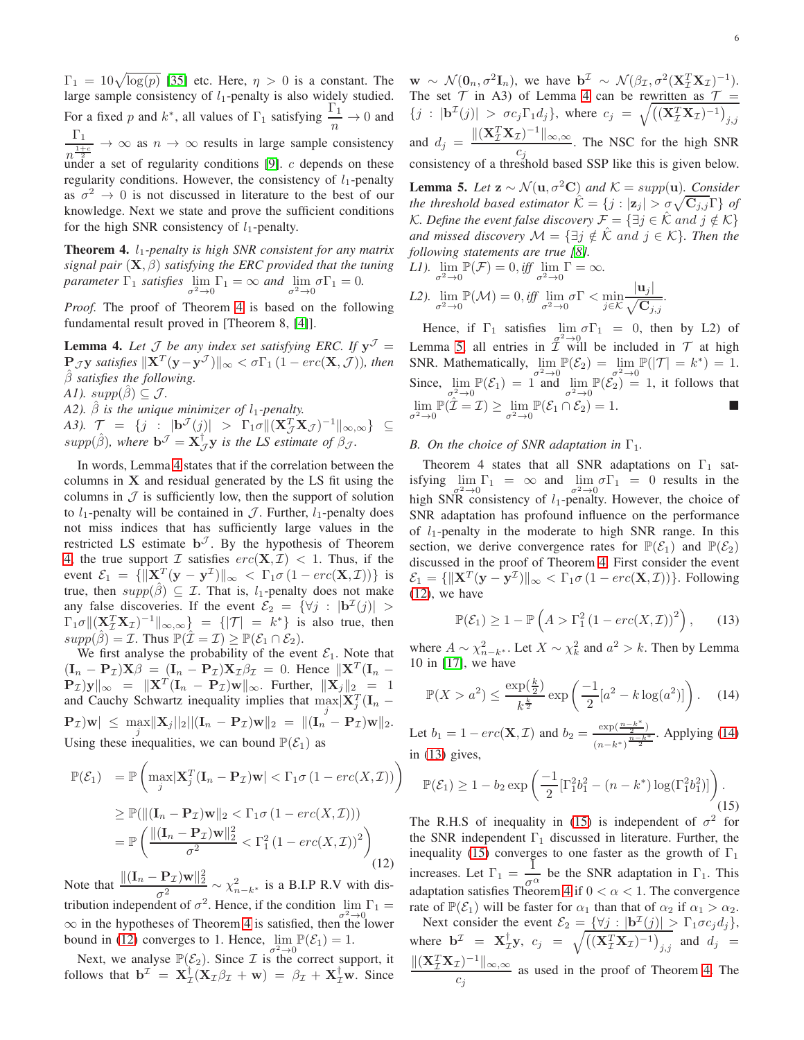$\Gamma_1 = 10\sqrt{\log(p)}$  [\[35\]](#page-12-31) etc. Here,  $\eta > 0$  is a constant. The large sample consistency of  $l_1$ -penalty is also widely studied. For a fixed p and k<sup>\*</sup>, all values of  $\Gamma_1$  satisfying  $\frac{\Gamma_1}{n} \to 0$  and  $\Gamma_1$  $\frac{1}{n^{\frac{1+c}{2}}} \to \infty$  as  $n \to \infty$  results in large sample consistency under a set of regularity conditions  $[9]$ . c depends on these regularity conditions. However, the consistency of  $l_1$ -penalty as  $\sigma^2 \to 0$  is not discussed in literature to the best of our knowledge. Next we state and prove the sufficient conditions for the high SNR consistency of  $l_1$ -penalty.

<span id="page-5-0"></span>Theorem 4. l1*-penalty is high SNR consistent for any matrix signal pair*  $(X, \beta)$  *satisfying the ERC provided that the tuning parameter*  $\Gamma_1$  *satisfies*  $\lim_{\sigma^2 \to 0} \Gamma_1 = \infty$  *and*  $\lim_{\sigma^2 \to 0} \sigma \Gamma_1 = 0$ *.* 

*Proof.* The proof of Theorem [4](#page-5-0) is based on the following fundamental result proved in [Theorem 8, [\[4\]](#page-12-16)].

<span id="page-5-1"></span>**Lemma 4.** Let  $\mathcal{J}$  be any index set satisfying ERC. If  $y^{\mathcal{J}} =$  $\Pr_{\gamma}$ *J*y satisfies  $\|\mathbf{X}^T (\mathbf{y}-\mathbf{y}^{\mathcal{J}})\|_{\infty} < \sigma \Gamma_1 (1-erc(\mathbf{X},\mathcal{J}))$ , then βˆ *satisfies the following.*

*A1).*  $supp(\beta) \subseteq \mathcal{J}$ .

*A2*).  $\hat{\beta}$  *is the unique minimizer of*  $l_1$ -penalty.

*A3).*  $\mathcal{T} = \{j : |\mathbf{b}^{\mathcal{J}}(j)| > \Gamma_1 \sigma ||(\mathbf{X}_{\mathcal{J}}^T \mathbf{X}_{\mathcal{J}})^{-1}||_{\infty,\infty}\}\subseteq$  $supp(\hat{\beta})$ , where  $\mathbf{b}^{\mathcal{J}} = \mathbf{X}_{\mathcal{J}}^{\dagger} \mathbf{y}$  is the LS estimate of  $\beta_{\mathcal{J}}$ .

In words, Lemma [4](#page-5-1) states that if the correlation between the columns in X and residual generated by the LS fit using the columns in  $\mathcal J$  is sufficiently low, then the support of solution to  $l_1$ -penalty will be contained in  $\mathcal J$ . Further,  $l_1$ -penalty does not miss indices that has sufficiently large values in the restricted LS estimate  $\mathbf{b}^{\mathcal{J}}$ . By the hypothesis of Theorem [4,](#page-5-0) the true support  $\mathcal I$  satisfies  $erc(\mathbf X, \mathcal I) < 1$ . Thus, if the event  $\mathcal{E}_1 = \{ ||\mathbf{X}_1^T(\mathbf{y} - \mathbf{y}^{\mathcal{I}})||_{\infty} < \Gamma_1 \sigma (1 - \text{erc}(\mathbf{X}, \mathcal{I})) \}$  is true, then  $supp(\hat{\beta}) \subseteq \mathcal{I}$ . That is, *l*<sub>1</sub>-penalty does not make any false discoveries. If the event  $\mathcal{E}_2 = {\forall j : |\mathbf{b}^{\mathcal{I}}(j)| > \square}$  $\Gamma_1 \sigma \| (\mathbf{X}_\mathcal{I}^T \mathbf{X}_\mathcal{I})^{-1} \|_{\infty,\infty}$  =  $\{ | \mathcal{T} | = k^* \}$  is also true, then  $supp(\hat{\beta}) = \mathcal{I}$ . Thus  $\mathbb{P}(\hat{\mathcal{I}} = \mathcal{I}) \geq \mathbb{P}(\mathcal{E}_1 \cap \mathcal{E}_2)$ .

We first analyse the probability of the event  $\mathcal{E}_1$ . Note that  $(\mathbf{I}_n - \mathbf{P}_\mathcal{I}) \mathbf{X} \beta = (\mathbf{I}_n - \mathbf{P}_\mathcal{I}) \mathbf{X}_\mathcal{I} \beta_\mathcal{I} = 0$ . Hence  $\|\mathbf{X}^T (\mathbf{I}_n - \mathbf{P}_\mathcal{I})\mathbf{X} \beta_\mathcal{I}\|$  $\mathbf{P}_{\mathcal{I}}[\mathbf{y}\Vert_{\infty} = \|\mathbf{X}^T(\mathbf{I}_n - \mathbf{P}_{\mathcal{I}})\mathbf{w}\|_{\infty}$ . Further,  $\|\mathbf{X}_j\|_2 = 1$ and Cauchy Schwartz inequality implies that  $\max_j X_j^T (\mathbf{I}_n \mathbf{P}_{\mathcal{I}}) \mathbf{w} | \: \le \: \max_j \lVert \mathbf{X}_j \rVert_2 \lVert (\mathbf{I}_n - \mathbf{P}_{\mathcal{I}}) \mathbf{w} \rVert_2 \: = \: \lVert (\mathbf{I}_n - \mathbf{P}_{\mathcal{I}}) \mathbf{w} \rVert_2.$ Using these inequalities, we can bound  $\mathbb{P}(\mathcal{E}_1)$  as

<span id="page-5-2"></span>
$$
\mathbb{P}(\mathcal{E}_1) = \mathbb{P}\left(\max_j |\mathbf{X}_j^T(\mathbf{I}_n - \mathbf{P}_\mathcal{I})\mathbf{w}| < \Gamma_1 \sigma \left(1 - \text{erc}(X, \mathcal{I})\right)\right)
$$
\n
$$
\geq \mathbb{P}(\|(\mathbf{I}_n - \mathbf{P}_\mathcal{I})\mathbf{w}\|_2 < \Gamma_1 \sigma \left(1 - \text{erc}(X, \mathcal{I})\right))
$$
\n
$$
= \mathbb{P}\left(\frac{\|(\mathbf{I}_n - \mathbf{P}_\mathcal{I})\mathbf{w}\|_2^2}{\sigma^2} < \Gamma_1^2 \left(1 - \text{erc}(X, \mathcal{I})\right)^2\right)
$$
\n(12)

Note that  $\frac{\|(\mathbf{I}_n - \mathbf{P}_{\mathcal{I}})\mathbf{w}\|_2^2}{2}$  $rac{1}{\sigma^2}$   $\frac{1}{\sigma^2}$   $\sim \chi^2_{n-k^*}$  is a B.I.P R.V with distribution independent of  $\sigma^2$ . Hence, if the condition  $\lim_{\sigma^2 \to 0} \Gamma_1 =$  $\infty$  in the hypotheses of Theorem [4](#page-5-0) is satisfied, then the lower bound in [\(12\)](#page-5-2) converges to 1. Hence,  $\lim_{\sigma^2 \to 0} \mathbb{P}(\mathcal{E}_1) = 1$ .

Next, we analyse  $\mathbb{P}(\mathcal{E}_2)$ . Since  $\mathcal{I}$  is the correct support, it follows that  $\mathbf{b}^{\mathcal{I}} = \mathbf{X}_{\mathcal{I}}^{\dagger}(\mathbf{X}_{\mathcal{I}} \beta_{\mathcal{I}} + \mathbf{w}) = \beta_{\mathcal{I}} + \mathbf{X}_{\mathcal{I}}^{\dagger} \mathbf{w}$ . Since  $\mathbf{w} \sim \mathcal{N}(\mathbf{0}_n, \sigma^2 \mathbf{I}_n)$ , we have  $\mathbf{b}^{\mathcal{I}} \sim \mathcal{N}(\beta_{\mathcal{I}}, \sigma^2(\mathbf{X}_{\mathcal{I}}^T \mathbf{X}_{\mathcal{I}})^{-1})$ . The set  $\mathcal T$  in A3) of Lemma [4](#page-5-1) can be rewritten as  $\mathcal T =$  $\{j : |\mathbf{b}^{\mathcal{I}}(j)| > \sigma c_j \Gamma_1 d_j\},\$  where  $c_j = \sqrt{\left((\mathbf{X}_{\mathcal{I}}^T \mathbf{X}_{\mathcal{I}})^{-1}\right)_{j,j}}$ and  $d_j = \frac{\|(X_1^T X_1)^{-1}\|_{\infty,\infty}}{2}$  $\frac{L}{C_j}$  ( $\infty$ , $\infty$ ). The NSC for the high SNR consistency of a threshold based SSP like this is given below.

<span id="page-5-3"></span>**Lemma 5.** *Let*  $z \sim \mathcal{N}(u, \sigma^2 C)$  *and*  $\mathcal{K} = supp(u)$ *. Consider the threshold based estimator*  $\hat{\mathcal{K}} = \{j : |\mathbf{z}_j| > \sigma \sqrt{\mathbf{C}_{j,j}}\Gamma\}$  *of K*. Define the event false discovery  $\mathcal{F} = \{\exists j \in \hat{\mathcal{K}} \text{ and } j \notin \mathcal{K}\}\$ *and missed discovery*  $\mathcal{M} = \{\exists j \notin \hat{\mathcal{K}} \text{ and } j \in \mathcal{K}\}\$ . Then the *following statements are true [\[8\]](#page-12-3).*

*L1*). 
$$
\lim_{\sigma^2 \to 0} \mathbb{P}(\mathcal{F}) = 0, \text{ iff } \lim_{\sigma^2 \to 0} \Gamma = \infty.
$$

$$
L2. \lim_{\sigma^2 \to 0} \mathbb{P}(\mathcal{M}) = 0, \text{ iff } \lim_{\sigma^2 \to 0} \sigma \Gamma < \min_{j \in \mathcal{K}} \frac{|\mathbf{u}_j|}{\sqrt{\mathbf{C}_{j,j}}}
$$

Hence, if  $\Gamma_1$  satisfies  $\lim_{n \to \infty} \sigma \Gamma_1 = 0$ , then by L2) of Lemma [5,](#page-5-3) all entries in  $\mathcal{I}^{2\to 0}$  be included in  $\mathcal{T}$  at high SNR. Mathematically,  $\lim_{\sigma^2 \to 0} \mathbb{P}(\mathcal{E}_2) = \lim_{\sigma^2 \to 0} \mathbb{P}(|\mathcal{T}| = k^*) = 1.$ SNR. Mathematically,  $\lim_{n \to \infty} \mathbb{P}(\mathcal{E}_2) = \lim_{n \to \infty} \mathbb{P}(|\mathcal{T}| = k^*) = 1$ . Since,  $\lim_{\sigma^2 \to 0} \mathbb{P}(\mathcal{E}_1) = 1$  and  $\lim_{\sigma^2 \to 0} \mathbb{P}(\mathcal{E}_2) = 1$ , it follows that  $\lim_{\sigma^2 \to 0} \mathbb{P}(\hat{\mathcal{I}} = \mathcal{I}) \ge \lim_{\sigma^2 \to 0} \mathbb{P}(\mathcal{E}_1 \cap \mathcal{E}_2) = 1.$ 

*.*

#### *B.* On the choice of SNR adaptation in  $\Gamma_1$ .

Theorem 4 states that all SNR adaptations on  $\Gamma_1$  satisfying  $\lim_{\sigma^2 \to 0} \Gamma_1 = \infty$  and  $\lim_{\sigma^2 \to 0} \sigma \Gamma_1 = 0$  results in the high SNR consistency of  $l_1$ -penalty. However, the choice of SNR adaptation has profound influence on the performance of  $l_1$ -penalty in the moderate to high SNR range. In this section, we derive convergence rates for  $\mathbb{P}(\mathcal{E}_1)$  and  $\mathbb{P}(\mathcal{E}_2)$ discussed in the proof of Theorem [4.](#page-5-0) First consider the event  $\mathcal{E}_1 = {\{\Vert \mathbf{X}^T(\mathbf{y} - \mathbf{y}^T)\Vert_{\infty} < \Gamma_1 \sigma (1 - \text{erc}(\mathbf{X}, \mathcal{I}))\}}$ . Following [\(12\)](#page-5-2), we have

<span id="page-5-5"></span>
$$
\mathbb{P}(\mathcal{E}_1) \ge 1 - \mathbb{P}\left(A > \Gamma_1^2 \left(1 - \text{erc}(X, \mathcal{I})\right)^2\right), \qquad (13)
$$

where  $A \sim \chi^2_{n-k^*}$ . Let  $X \sim \chi^2_k$  and  $a^2 > k$ . Then by Lemma 10 in [\[17\]](#page-12-12), we have

<span id="page-5-4"></span>
$$
\mathbb{P}(X > a^2) \le \frac{\exp(\frac{k}{2})}{k^{\frac{k}{2}}} \exp\left(\frac{-1}{2}[a^2 - k \log(a^2)]\right). \tag{14}
$$

Let  $b_1 = 1 - \text{erc}(\mathbf{X}, \mathcal{I})$  and  $b_2 = \frac{\exp(\frac{n-k^*}{2})}{(n-k^*)^{\frac{n-k^*}{2}}}$  $\frac{\exp(\frac{-2}{2})}{(n-k^*)^{\frac{n-k^*}{2}}}$ . Applying [\(14\)](#page-5-4) in [\(13\)](#page-5-5) gives,

<span id="page-5-6"></span>
$$
\mathbb{P}(\mathcal{E}_1) \ge 1 - b_2 \exp\left(\frac{-1}{2} [\Gamma_1^2 b_1^2 - (n - k^*) \log(\Gamma_1^2 b_1^2)]\right).
$$
\n(15)

The R.H.S of inequality in [\(15\)](#page-5-6) is independent of  $\sigma^2$  for the SNR independent  $\Gamma_1$  discussed in literature. Further, the inequality [\(15\)](#page-5-6) converges to one faster as the growth of  $\Gamma_1$ increases. Let  $\Gamma_1 = \frac{1}{\sqrt{2}}$  $\frac{1}{\sigma^{\alpha}}$  be the SNR adaptation in  $\Gamma_1$ . This adaptation satisfies Theorem [4](#page-5-0) if  $0 < \alpha < 1$ . The convergence rate of  $\mathbb{P}(\mathcal{E}_1)$  will be faster for  $\alpha_1$  than that of  $\alpha_2$  if  $\alpha_1 > \alpha_2$ .

Next consider the event  $\mathcal{E}_2 = \{ \forall j : |\mathbf{b}^{\mathcal{I}}(j)| > \Gamma_1 \sigma c_j d_j \},$ where  $\mathbf{b}^{\mathcal{I}} = \mathbf{X}_{\mathcal{I}}^{\dagger} \mathbf{y}$ ,  $c_j = \sqrt{\left( (\mathbf{X}_{\mathcal{I}}^T \mathbf{X}_{\mathcal{I}})^{-1} \right)_{j,j}}$  and  $d_j =$  $\|(\mathbf{X}_{\mathcal{I}}^T\mathbf{X}_{\mathcal{I}})^{-1}\|_{\infty,\infty}$  $\frac{z}{c_j}$  as used in the proof of Theorem [4.](#page-5-0) The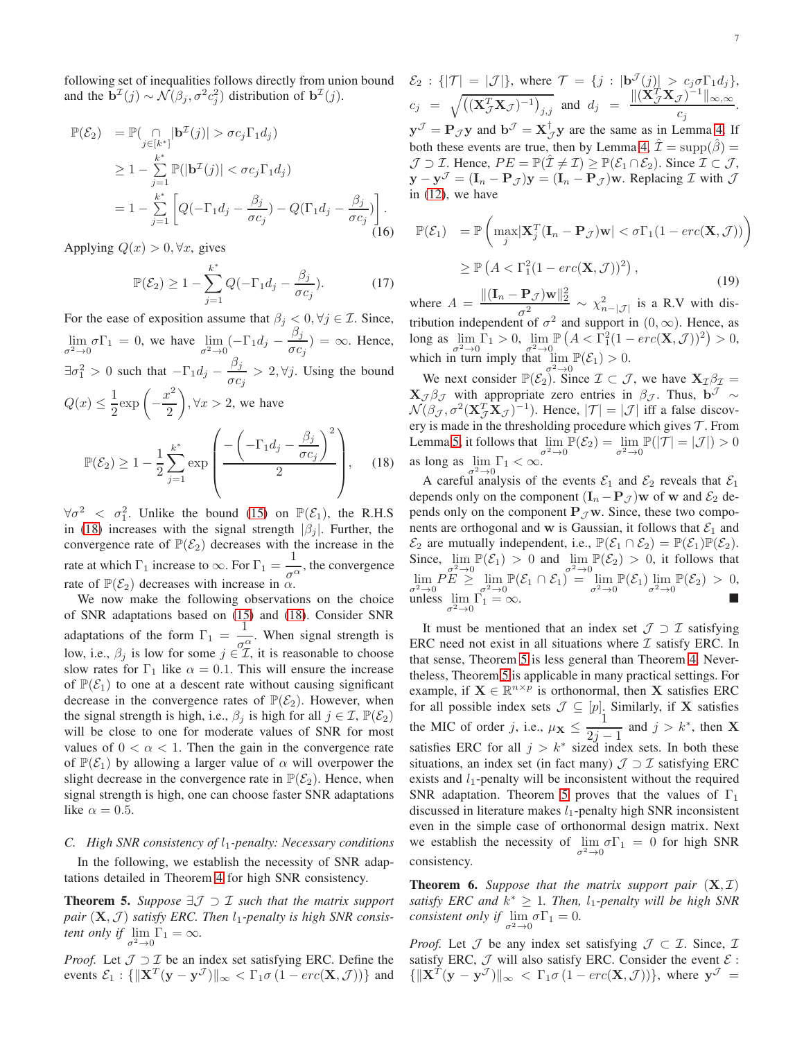7

following set of inequalities follows directly from union bound and the  $\mathbf{b}^{\mathcal{I}}(j) \sim \mathcal{N}(\beta_j, \sigma^2 c_j^2)$  distribution of  $\mathbf{b}^{\mathcal{I}}(j)$ .

$$
\mathbb{P}(\mathcal{E}_2) = \mathbb{P}(\bigcap_{j \in [k^*]} |\mathbf{b}^{\mathcal{I}}(j)| > \sigma c_j \Gamma_1 d_j)
$$
  
\n
$$
\geq 1 - \sum_{j=1}^{k^*} \mathbb{P}(|\mathbf{b}^{\mathcal{I}}(j)| < \sigma c_j \Gamma_1 d_j)
$$
  
\n
$$
= 1 - \sum_{j=1}^{k^*} \left[ Q(-\Gamma_1 d_j - \frac{\beta_j}{\sigma c_j}) - Q(\Gamma_1 d_j - \frac{\beta_j}{\sigma c_j}) \right].
$$
 (16)

Applying  $Q(x) > 0, \forall x$ , gives

$$
\mathbb{P}(\mathcal{E}_2) \ge 1 - \sum_{j=1}^{k^*} Q(-\Gamma_1 d_j - \frac{\beta_j}{\sigma c_j}).\tag{17}
$$

For the ease of exposition assume that  $\beta_j < 0, \forall j \in \mathcal{I}$ . Since,  $\lim_{\sigma^2 \to 0} \sigma \Gamma_1 = 0$ , we have  $\lim_{\sigma^2 \to 0} (-\Gamma_1 d_j - \frac{\beta_j}{\sigma c})$  $\frac{\mu_j}{\sigma c_j}$ ) =  $\infty$ . Hence,  $\exists \sigma_1^2 > 0$  such that  $-\Gamma_1 d_j - \frac{\beta_j}{\sigma G}$  $\frac{\partial^2 y}{\partial c_j} > 2$ ,  $\forall j$ . Using the bound  $Q(x) \leq \frac{1}{2}$  $rac{1}{2}$ exp $\left(-\right)$  $x^2$ 2  $\Big), \forall x > 2$ , we have  $\mathbb{P}(\mathcal{E}_2) \geq 1 - \frac{1}{2}$ 2  $\sum^{k^*}$  $j=1$ exp  $\sqrt{ }$  $\vert$  =  $\left(-\Gamma_1d_j-\frac{\beta_j}{\sigma_c}\right)$  $\sigma c_j$  $\setminus^2$ 2  $\setminus$  $\Bigg\}$ , (18)

<span id="page-6-0"></span> $\forall \sigma^2 \leq \sigma_1^2$ . Unlike the bound [\(15\)](#page-5-6) on  $\mathbb{P}(\mathcal{E}_1)$ , the R.H.S in [\(18\)](#page-6-0) increases with the signal strength  $|\beta_i|$ . Further, the convergence rate of  $\mathbb{P}(\mathcal{E}_2)$  decreases with the increase in the rate at which  $\Gamma_1$  increase to  $\infty$ . For  $\Gamma_1 = \frac{1}{\sigma^6}$  $\frac{1}{\sigma^{\alpha}}$ , the convergence rate of  $\mathbb{P}(\mathcal{E}_2)$  decreases with increase in  $\alpha$ .

We now make the following observations on the choice of SNR adaptations based on [\(15\)](#page-5-6) and [\(18\)](#page-6-0). Consider SNR adaptations of the form  $\Gamma_1 = \frac{1}{\sqrt{2}}$  $\frac{1}{\sigma_{\tau}^{\alpha}}$ . When signal strength is low, i.e.,  $\beta_j$  is low for some  $j \in \mathcal{I}$ , it is reasonable to choose slow rates for  $\Gamma_1$  like  $\alpha = 0.1$ . This will ensure the increase of  $\mathbb{P}(\mathcal{E}_1)$  to one at a descent rate without causing significant decrease in the convergence rates of  $\mathbb{P}(\mathcal{E}_2)$ . However, when the signal strength is high, i.e.,  $\beta_i$  is high for all  $j \in \mathcal{I}, \mathbb{P}(\mathcal{E}_2)$ will be close to one for moderate values of SNR for most values of  $0 < \alpha < 1$ . Then the gain in the convergence rate of  $\mathbb{P}(\mathcal{E}_1)$  by allowing a larger value of  $\alpha$  will overpower the slight decrease in the convergence rate in  $\mathbb{P}(\mathcal{E}_2)$ . Hence, when signal strength is high, one can choose faster SNR adaptations like  $\alpha = 0.5$ .

#### *C. High SNR consistency of*  $l_1$ -penalty: Necessary conditions

In the following, we establish the necessity of SNR adaptations detailed in Theorem [4](#page-5-0) for high SNR consistency.

<span id="page-6-1"></span>Theorem 5. *Suppose* ∃J ⊃ I *such that the matrix support* pair  $(X, \mathcal{J})$  satisfy ERC. Then  $l_1$ -penalty is high SNR consis*tent only if*  $\lim_{\sigma^2 \to 0} \Gamma_1 = \infty$ *.* 

*Proof.* Let  $\mathcal{J} \supset \mathcal{I}$  be an index set satisfying ERC. Define the events  $\mathcal{E}_1: \{ ||\mathbf{X}^T(\mathbf{y} - \mathbf{y}^{\mathcal{J}})||_{\infty} < \Gamma_1 \sigma (1 - \text{erc}(\mathbf{X}, \mathcal{J})) \}$  and

 $\mathcal{E}_2 : \{ |\mathcal{T}| = |\mathcal{J}| \}, \text{ where } \mathcal{T} = \{ j : |\mathbf{b}^{\mathcal{J}}(j)| > c_j \sigma \Gamma_1 d_j \},$  $c_j = \sqrt{\left( (\mathbf{X}_{\mathcal{J}}^T \mathbf{X}_{\mathcal{J}})^{-1} \right)_{j,j}}$  and  $d_j = \frac{\| (\mathbf{X}_{\mathcal{J}}^T \mathbf{X}_{\mathcal{J}})^{-1} \|_{\infty, \infty}}{c_j}$  $\frac{\partial}{\partial c_j}$ .  $y^{\mathcal{J}} = P_{\mathcal{J}}y$  and  $b^{\mathcal{J}} = X^{\dagger}_{\mathcal{J}}y$  are the same as in Lemma [4.](#page-5-1) If both these events are true, then by Lemma [4,](#page-5-1)  $\hat{\mathcal{I}} = \text{supp}(\hat{\beta}) =$  $\mathcal{J} \supset \mathcal{I}$ . Hence,  $PE = \mathbb{P}(\mathcal{I} \neq \mathcal{I}) \geq \mathbb{P}(\mathcal{E}_1 \cap \mathcal{E}_2)$ . Since  $\mathcal{I} \subset \mathcal{J}$ ,  $\mathbf{y} - \mathbf{y}^{\mathcal{J}} = (\mathbf{I}_n - \mathbf{P}_{\mathcal{J}})\mathbf{y} = (\mathbf{I}_n - \mathbf{P}_{\mathcal{J}})\mathbf{w}$ . Replacing  $\mathcal{I}$  with  $\mathcal{J}$ in [\(12\)](#page-5-2), we have

$$
\mathbb{P}(\mathcal{E}_1) = \mathbb{P}\left(\max_j |\mathbf{X}_j^T(\mathbf{I}_n - \mathbf{P}_{\mathcal{J}})\mathbf{w}| < \sigma \Gamma_1 (1 - \text{erc}(\mathbf{X}, \mathcal{J}))\right)
$$
  
\n
$$
\geq \mathbb{P}\left(A < \Gamma_1^2 (1 - \text{erc}(\mathbf{X}, \mathcal{J}))^2\right),
$$
\n(19)

where  $A = \frac{\|(\mathbf{I}_n - \mathbf{P}_{\mathcal{J}})\mathbf{w}\|_2^2}{2}$  $\frac{1}{\sigma^2}$   $\frac{1}{\sigma^2}$   $\sim \chi^2_{n-|\mathcal{J}|}$  is a R.V with distribution independent of  $\sigma^2$  and support in  $(0, \infty)$ . Hence, as long as  $\lim_{\sigma^2 \to 0} \Gamma_1 > 0$ ,  $\lim_{\sigma^2 \to 0}$  $\mathbb{P}\left(A < \overline{\Gamma_1^2}(1 - \text{erc}(\mathbf{X}, \mathcal{J}))^2\right) > 0,$ which in turn imply that  $\lim_{\sigma^2 \to 0} \mathbb{P}(\mathcal{E}_1) > 0$ .

We next consider  $\mathbb{P}(\mathcal{E}_2)$ . Since  $\mathcal{I} \subset \mathcal{J}$ , we have  $\mathbf{X}_{\mathcal{I}} \mathcal{B}_{\mathcal{I}} =$  $\mathbf{X}_{\mathcal{J}} \beta_{\mathcal{J}}$  with appropriate zero entries in  $\beta_{\mathcal{J}}$ . Thus, b<sup> $\mathcal{J} \sim$ </sup>  $\mathcal{N}(\beta_{\mathcal{J}}, \sigma^2(\mathbf{X}_{\mathcal{J}}^T \mathbf{X}_{\mathcal{J}})^{-1})$ . Hence,  $|\mathcal{T}| = |\mathcal{J}|$  iff a false discovery is made in the thresholding procedure which gives  $\mathcal T$ . From Lemma [5,](#page-5-3) it follows that  $\lim_{\sigma^2 \to 0} \mathbb{P}(\mathcal{E}_2) = \lim_{\sigma^2 \to 0} \mathbb{P}(|\mathcal{T}| = |\mathcal{J}|) > 0$ as long as  $\lim_{\sigma^2 \to 0} \Gamma_1 < \infty$ .

A careful analysis of the events  $\mathcal{E}_1$  and  $\mathcal{E}_2$  reveals that  $\mathcal{E}_1$ depends only on the component  $(I_n - P_{\mathcal{J}})$ w of w and  $\mathcal{E}_2$  depends only on the component  $P_{\mathcal{J}}$  w. Since, these two components are orthogonal and w is Gaussian, it follows that  $\mathcal{E}_1$  and  $\mathcal{E}_2$  are mutually independent, i.e.,  $\mathbb{P}(\mathcal{E}_1 \cap \mathcal{E}_2) = \mathbb{P}(\mathcal{E}_1)\mathbb{P}(\mathcal{E}_2)$ . Since,  $\lim_{\sigma^2 \to 0} \mathbb{P}(\mathcal{E}_1) > 0$  and  $\lim_{\sigma^2 \to 0} \mathbb{P}(\mathcal{E}_2) > 0$ , it follows that  $\lim_{\sigma^2\to 0}P E \geq \lim_{\sigma^2\to 0} \mathbb{P}(\mathcal{E}_1 \cap \mathcal{E}_1) = \lim_{\sigma^2\to 0} \mathbb{P}(\mathcal{E}_1) \lim_{\sigma^2\to 0} \mathbb{P}(\mathcal{E}_2) > 0,$ unless  $\lim_{\sigma^2 \to 0} \Gamma_1 = \infty$ .

It must be mentioned that an index set  $\mathcal{J} \supset \mathcal{I}$  satisfying ERC need not exist in all situations where  $\mathcal I$  satisfy ERC. In that sense, Theorem [5](#page-6-1) is less general than Theorem [4.](#page-5-0) Nevertheless, Theorem [5](#page-6-1) is applicable in many practical settings. For example, if  $X \in \mathbb{R}^{n \times p}$  is orthonormal, then X satisfies ERC for all possible index sets  $\mathcal{J} \subseteq [p]$ . Similarly, if **X** satisfies the MIC of order j, i.e.,  $\mu_{\mathbf{X}} \leq \frac{1}{2i}$  $2j-1$ <br>ad ind and  $j > k^*$ , then **X** satisfies ERC for all  $j > k^*$  sized index sets. In both these situations, an index set (in fact many)  $\mathcal{J} \supset \mathcal{I}$  satisfying ERC exists and  $l_1$ -penalty will be inconsistent without the required SNR adaptation. Theorem [5](#page-6-1) proves that the values of  $\Gamma_1$ discussed in literature makes  $l_1$ -penalty high SNR inconsistent even in the simple case of orthonormal design matrix. Next we establish the necessity of  $\lim_{\sigma^2 \to 0} \sigma \Gamma_1 = 0$  for high SNR consistency.

<span id="page-6-2"></span>**Theorem 6.** Suppose that the matrix support pair  $(X, \mathcal{I})$ *satisfy ERC and*  $k^* \geq 1$ . Then,  $l_1$ -penalty will be high SNR *consistent only if*  $\lim_{\sigma^2 \to 0} \sigma \Gamma_1 = 0$ .

*Proof.* Let  $\mathcal J$  be any index set satisfying  $\mathcal J \subset \mathcal I$ . Since,  $\mathcal I$ satisfy ERC,  $J$  will also satisfy ERC. Consider the event  $E$ :  ${||\mathbf{X}^T(\mathbf{y} - \mathbf{y}^{\mathcal{J}})||_{\infty} < \Gamma_1 \sigma (1 - \text{erc}(\mathbf{X}, \mathcal{J})) }\text{, where } \mathbf{y}^{\mathcal{J}} = \mathbf{y}^{\mathcal{J}}$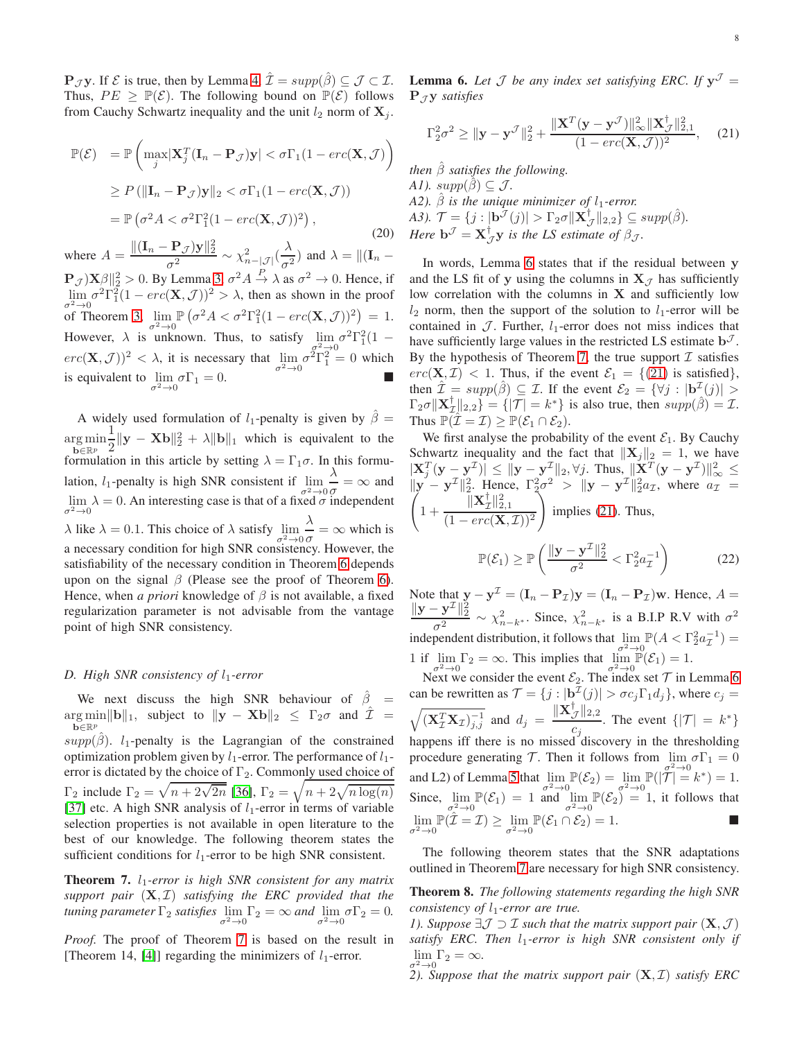**P**<sub>J</sub>**y**. If  $\mathcal{E}$  is true, then by Lemma [4,](#page-5-1)  $\hat{\mathcal{I}} = supp(\hat{\beta}) \subseteq \mathcal{J} \subset \mathcal{I}$ . Thus,  $PE > \mathbb{P}(\mathcal{E})$ . The following bound on  $\mathbb{P}(\mathcal{E})$  follows from Cauchy Schwartz inequality and the unit  $l_2$  norm of  $X_j$ .

$$
\mathbb{P}(\mathcal{E}) = \mathbb{P}\left(\max_{j} |\mathbf{X}_{j}^{T}(\mathbf{I}_{n} - \mathbf{P}_{\mathcal{J}})\mathbf{y}| < \sigma\Gamma_{1}(1 - \text{erc}(\mathbf{X}, \mathcal{J}))\right)
$$
  
\n
$$
\geq P(\|\mathbf{I}_{n} - \mathbf{P}_{\mathcal{J}})\mathbf{y}\|_{2} < \sigma\Gamma_{1}(1 - \text{erc}(\mathbf{X}, \mathcal{J}))
$$
  
\n
$$
= \mathbb{P}\left(\sigma^{2} A < \sigma^{2} \Gamma_{1}^{2}(1 - \text{erc}(\mathbf{X}, \mathcal{J}))^{2}\right),
$$
\n(20)

where  $A = \frac{\|(\mathbf{I}_n - \mathbf{P}_{\mathcal{J}})\mathbf{y}\|_2^2}{2}$  $\frac{\mathbf{P}_{\mathcal{J}}\mathbf{y}\|_2^2}{\sigma^2} \sim \chi^2_{n-|\mathcal{J}|}(\frac{\lambda}{\sigma^2})$  $\frac{\lambda}{\sigma^2}$ ) and  $\lambda = ||(\mathbf{I}_n \mathbf{P}_{\mathcal{J}} \mathbf{X}_{\mathcal{D}}^{2} \|_{2}^{2} > 0$ . By Lemma [3,](#page-2-2)  $\sigma^{2} A \xrightarrow{P} \lambda$  as  $\sigma^{2} \to 0$ . Hence, if  $\lim_{n \to \infty} \sigma^2 \Gamma_1^2 (1 - \text{erc}(\mathbf{X}, \mathcal{J}))^2 > \lambda$ , then as shown in the proof  $\sigma^2 \rightarrow 0$  Theorem [3,](#page-4-1)  $\lim_{\sigma^2 \rightarrow 0}$  $\mathbb{P}\left(\sigma^2 A < \sigma^2 \Gamma_1^2 (1 - \text{erc}(\mathbf{X}, \mathcal{J}))^2\right) = 1.$ However,  $\lambda$  is unknown. Thus, to satisfy  $\lim_{\sigma^2 \to 0} \sigma^2 \Gamma_1^2 (1$  $erc(\mathbf{X}, \mathcal{J}))^2 < \lambda$ , it is necessary that  $\lim_{\sigma^2 \to 0} \sigma^2 \Gamma_1^2 = 0$  which is equivalent to  $\lim_{\sigma^2 \to 0} \sigma \Gamma_1 = 0$ .

A widely used formulation of  $l_1$ -penalty is given by  $\hat{\beta} =$  $\argmin_{\mathbf{z} \in \mathbb{R}^n} \frac{1}{2} \|\mathbf{y} - \mathbf{X}\mathbf{b}\|_2^2 + \lambda \|\mathbf{b}\|_1$  which is equivalent to the  $\mathbf{b} \in \mathbb{R}^p$  2 formulation in this article by setting  $\lambda = \Gamma_1 \sigma$ . In this formulation,  $l_1$ -penalty is high SNR consistent if  $\lim_{\sigma^2 \to 0}$ λ  $\frac{\Delta}{\sigma} = \infty$  and  $\lim_{\sigma^2 \to 0} \lambda = 0$ . An interesting case is that of a fixed  $\sigma$  independent  $\lambda$  like  $\lambda = 0.1$ . This choice of  $\lambda$  satisfy  $\lim_{\sigma^2 \to 0}$ λ  $\frac{\partial}{\partial \sigma} = \infty$  which is a necessary condition for high SNR consistency. However, the satisfiability of the necessary condition in Theorem [6](#page-6-2) depends upon on the signal  $\beta$  (Please see the proof of Theorem [6\)](#page-6-2). Hence, when *a priori* knowledge of  $\beta$  is not available, a fixed regularization parameter is not advisable from the vantage point of high SNR consistency.

#### *D. High SNR consistency of l<sub>1</sub>-error*

We next discuss the high SNR behaviour of  $\hat{\beta}$  =  $\arg\min_{\mathbf{k}\in\mathbb{R}_{\mathbb{R}}} \|\mathbf{b}\|_{1}$ , subject to  $\|\mathbf{y} - \mathbf{X}\mathbf{b}\|_{2} \leq \Gamma_{2}\sigma$  and  $\hat{\mathcal{I}} =$  $\mathbf{b} \in \mathbb{R}^p$  $supp(\hat{\beta})$ . l<sub>1</sub>-penalty is the Lagrangian of the constrained optimization problem given by  $l_1$ -error. The performance of  $l_1$ error is dictated by the choice of  $\Gamma_2$ . Commonly used choice of  $\Gamma_2$  include  $\Gamma_2 = \sqrt{n + 2\sqrt{2n}}$  [\[36\]](#page-12-32),  $\Gamma_2 = \sqrt{n + 2\sqrt{n \log(n)}}$ [\[37\]](#page-12-33) etc. A high SNR analysis of  $l_1$ -error in terms of variable selection properties is not available in open literature to the best of our knowledge. The following theorem states the sufficient conditions for  $l_1$ -error to be high SNR consistent.

<span id="page-7-0"></span>Theorem 7. *l*<sub>1</sub>-error is high SNR consistent for any matrix *support pair* (X, I) *satisfying the ERC provided that the tuning parameter*  $\Gamma_2$  *satisfies*  $\lim_{\sigma^2 \to 0} \Gamma_2 = \infty$  *and*  $\lim_{\sigma^2 \to 0} \sigma \Gamma_2 = 0$ .

*Proof.* The proof of Theorem [7](#page-7-0) is based on the result in [Theorem 14, [\[4\]](#page-12-16)] regarding the minimizers of  $l_1$ -error.

<span id="page-7-1"></span>**Lemma 6.** Let  $\mathcal J$  be any index set satisfying ERC. If  $y^{\mathcal J} =$  $P_{\mathcal{I}}$ **y** *satisfies* 

<span id="page-7-2"></span>
$$
\Gamma_2^2 \sigma^2 \ge ||\mathbf{y} - \mathbf{y}^{\mathcal{J}}||_2^2 + \frac{\|\mathbf{X}^T(\mathbf{y} - \mathbf{y}^{\mathcal{J}})\|_{\infty}^2 \|\mathbf{X}_{\mathcal{J}}^{\dagger}\|_{2,1}^2}{(1 - \text{erc}(\mathbf{X}, \mathcal{J}))^2}, \quad (21)
$$

*then*  $\hat{\beta}$  *satisfies the following. A1).*  $supp(\beta) \subseteq \mathcal{J}$ *. A2).*  $\hat{\beta}$  *is the unique minimizer of l<sub>1</sub>-error. A3).*  $\mathcal{T} = \{j : |\mathbf{b}^{\mathcal{T}}(j)| > \Gamma_2 \sigma ||\mathbf{X}_{\mathcal{J}}^{\dagger}||_{2,2} \} \subseteq supp(\hat{\beta}).$ *Here*  $\mathbf{b}^{\mathcal{J}} = \mathbf{X}_{\mathcal{J}}^{\dagger} \mathbf{y}$  *is the LS estimate of*  $\beta_{\mathcal{J}}$ *.* 

In words, Lemma [6](#page-7-1) states that if the residual between y and the LS fit of y using the columns in  $X_{\mathcal{I}}$  has sufficiently low correlation with the columns in  $X$  and sufficiently low  $l_2$  norm, then the support of the solution to  $l_1$ -error will be contained in  $\mathcal J$ . Further,  $l_1$ -error does not miss indices that have sufficiently large values in the restricted LS estimate  $\mathbf{b}^{\mathcal{J}}$ . By the hypothesis of Theorem [7,](#page-7-0) the true support  $\mathcal I$  satisfies  $erc(\mathbf{X}, \mathcal{I}) < 1$ . Thus, if the event  $\mathcal{E}_1 = \{(21) \text{ is satisfied}\},$  $\mathcal{E}_1 = \{(21) \text{ is satisfied}\},$  $\mathcal{E}_1 = \{(21) \text{ is satisfied}\},$ then  $\hat{\mathcal{I}} = supp(\hat{\beta}) \subseteq \mathcal{I}$ . If the event  $\mathcal{E}_2 = {\forall j : |\mathbf{b}^{\mathcal{I}}(j)| > \mathcal{I}$  $\Gamma_2 \sigma ||\mathbf{X}_\mathcal{I}^\dagger ||_{2,2}$  =  $\{ |\mathcal{T}| = k^* \}$  is also true, then  $supp(\hat{\beta}) = \mathcal{I}$ . Thus  $\mathbb{P}(\mathcal{I} = \mathcal{I}) \geq \mathbb{P}(\mathcal{E}_1 \cap \mathcal{E}_2)$ .

We first analyse the probability of the event  $\mathcal{E}_1$ . By Cauchy Schwartz inequality and the fact that  $||\mathbf{X}_i||_2 = 1$ , we have  $|\mathbf{X}_j^T(\mathbf{y}-\mathbf{y}^{\mathcal{I}})| \leq ||\mathbf{y}-\mathbf{y}^{\mathcal{I}}||_2, \forall j.$  Thus,  $||\mathbf{X}^T(\mathbf{y}-\mathbf{y}^{\mathcal{I}})||_{\infty}^2 \leq$  $\|\mathbf{y} - \mathbf{y}^{\mathcal{I}}\|_2^2$ . Hence,  $\Gamma_2^2 \sigma^2 > \|\mathbf{y} - \mathbf{y}^{\mathcal{I}}\|_2^2$  $\|{\bf y}-{\bf y}^{\perp}\|_2^2$ . Hence,  $\Gamma_2^2 \sigma^2 > \|{\bf y}-{\bf y}^{\perp}\|_2^2 a_{\mathcal{I}}$ , where  $a_{\mathcal{I}} =$  $1 + \frac{\|{\bf X}_\mathcal{I}^\dagger\|_{2,1}^2}{\sqrt{\bf x}}$  $(1 - \text{erc}(\mathbf{X}, \mathcal{I}))^2$  $\setminus$ implies [\(21\)](#page-7-2). Thus,  $\mathbb{P}(\mathcal{E}_1) \geq \mathbb{P}\left(\frac{\|\mathbf{y}-\mathbf{y}^{\mathcal{I}}\|_2^2}{\sigma^2}\right)$  $\frac{-y}{\sigma^2}$   $\sqrt{\Gamma_2^2 a_{\mathcal{I}}^{-1}}$  $\setminus$ (22)

Note that  $y - y^{\mathcal{I}} = (\mathbf{I}_n - \mathbf{P}_{\mathcal{I}})y = (\mathbf{I}_n - \mathbf{P}_{\mathcal{I}})w$ . Hence,  $A =$  $\|{\bf y} - {\bf y}^{\cal I}\|_2^2$  $rac{y}{\sigma^2}$   $\sim \chi^2_{n-k^*}$ . Since,  $\chi^2_{n-k^*}$  is a B.I.P R.V with  $\sigma^2$ independent distribution, it follows that  $\lim_{z \to 0} \mathbb{P}(A < \Gamma_2^2 a_{\mathcal{I}}^{-1}) =$ 1 if  $\lim_{\sigma^2 \to 0} \Gamma_2 = \infty$ . This implies that  $\lim_{\sigma^2 \to 0} \mathbb{P}(\mathcal{E}_1) = 1$ .

Next we consider the event  $\mathcal{E}_2$ . The index set  $\mathcal{T}$  in Lemma [6](#page-7-1) can be rewritten as  $\mathcal{T} = \{j : |\mathbf{b}_i^{\mathcal{I}}(j)| > \sigma c_j \Gamma_1 d_j \}$ , where  $c_j =$  $\sqrt{(\mathbf{X}_\mathcal{I}^T \mathbf{X}_\mathcal{I})_{j,j}^{-1}}$  and  $d_j = \frac{\|\mathbf{X}_\mathcal{J}^\dagger\|_{2,2}}{c}$  $\frac{\mathcal{J}||2,2}{C_j}$ . The event  $\{|\mathcal{T}| = k^*\}$ happens iff there is no missed discovery in the thresholding procedure generating  $\mathcal{T}$ . Then it follows from  $\lim_{\sigma^2 \to 0} \sigma \Gamma_1 = 0$ and L2) of Lemma [5](#page-5-3) that  $\lim_{\sigma^2 \to 0} \mathbb{P}(\mathcal{E}_2) = \lim_{\sigma^2 \to 0} \mathbb{P}(|\mathcal{T}| = k^*) = 1$ . Since,  $\lim_{\sigma^2 \to 0} \mathbb{P}(\mathcal{E}_1) = 1$  and  $\lim_{\sigma^2 \to 0} \mathbb{P}(\mathcal{E}_2) = 1$ , it follows that  $\lim_{\sigma^2 \to 0} \mathbb{P}(\hat{\mathcal{I}} = \mathcal{I}) \ge \lim_{\sigma^2 \to 0}$  $\mathbb{P}(\mathcal{E}_1 \cap \mathcal{E}_2) = 1.$ 

The following theorem states that the SNR adaptations outlined in Theorem [7](#page-7-0) are necessary for high SNR consistency.

<span id="page-7-3"></span>Theorem 8. *The following statements regarding the high SNR consistency of*  $l_1$ *-error are true.* 

*1). Suppose*  $\exists \mathcal{J} \supset \mathcal{I}$  *such that the matrix support pair*  $(\mathbf{X}, \mathcal{J})$ *satisfy ERC. Then*  $l_1$ -error is high SNR consistent only if  $\lim_{n \to \infty} \Gamma_2 = \infty.$ 

σ2→0 *2). Suppose that the matrix support pair* (X, I) *satisfy ERC*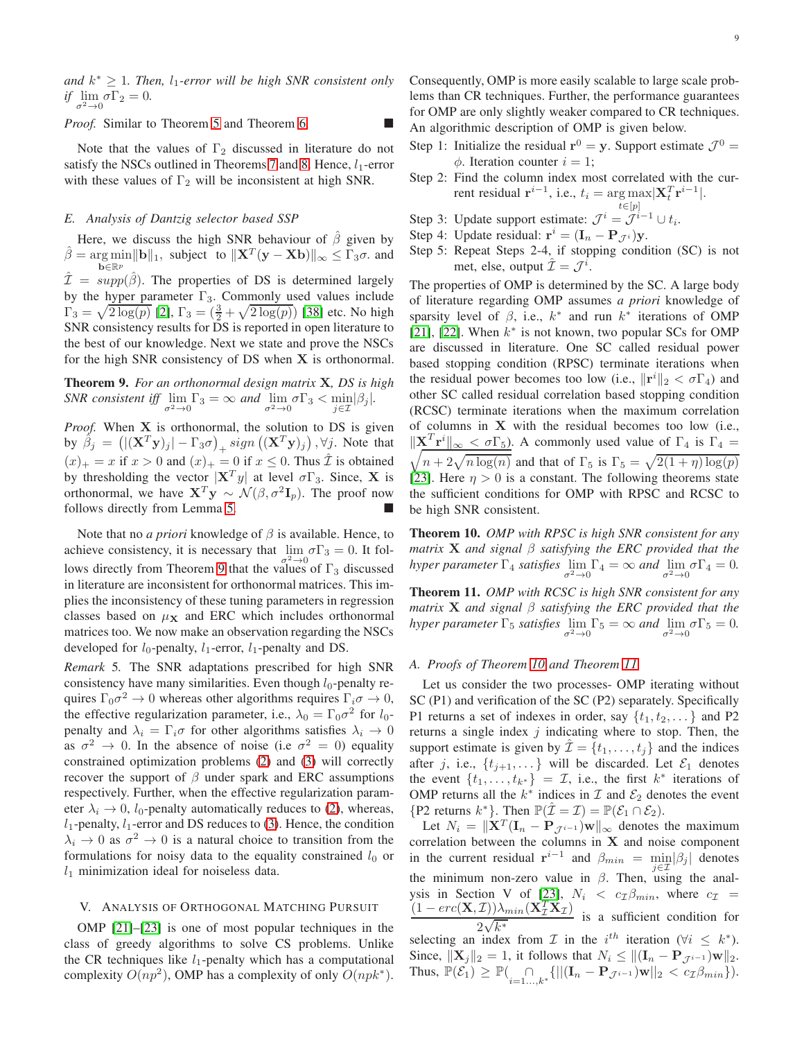and  $k^* \geq 1$ . Then,  $l_1$ -error will be high SNR consistent only *if*  $\lim_{\sigma^2 \to 0} \sigma \Gamma_2 = 0$ .

*Proof.* Similar to Theorem [5](#page-6-1) and Theorem [6.](#page-6-2)

Note that the values of  $\Gamma_2$  discussed in literature do not satisfy the NSCs outlined in Theorems [7](#page-7-0) and [8.](#page-7-3) Hence,  $l_1$ -error with these values of  $\Gamma_2$  will be inconsistent at high SNR.

## *E. Analysis of Dantzig selector based SSP*

Here, we discuss the high SNR behaviour of  $\hat{\beta}$  given by  $\hat{\beta} = \underset{\mathbf{k} \in \mathbb{R}^m}{\arg \min} ||\mathbf{b}||_1$ , subject to  $||\mathbf{X}^T(\mathbf{y} - \mathbf{X}\mathbf{b})||_{\infty} \leq \Gamma_3 \sigma$ . and  $\mathbf{b} \in \mathbb{R}^p$  $\hat{\mathcal{I}} = supp(\hat{\beta})$ . The properties of DS is determined largely by the hyper parameter  $\Gamma_3$ . Commonly used values include  $\Gamma_3 = \sqrt{2 \log(p)}$  [\[2\]](#page-12-15),  $\Gamma_3 = (\frac{3}{2} + \sqrt{2 \log(p)})$  [\[38\]](#page-12-34) etc. No high SNR consistency results for DS is reported in open literature to the best of our knowledge. Next we state and prove the NSCs for the high SNR consistency of DS when X is orthonormal.

<span id="page-8-0"></span>Theorem 9. *For an orthonormal design matrix* X*, DS is high SNR consistent iff*  $\lim_{\sigma^2 \to 0} \Gamma_3 = \infty$  *and*  $\lim_{\sigma^2 \to 0} \sigma \Gamma_3 < \min_{j \in \mathcal{I}} |\beta_j|$ *.* 

*Proof.* When X is orthonormal, the solution to DS is given by  $\hat{\beta}_j = (|(\mathbf{X}^T \mathbf{y})_j| - \Gamma_3 \sigma)_+$  sign  $((\mathbf{X}^T \mathbf{y})_j)$  ,  $\forall j$ . Note that  $(x)_+ = x$  if  $x > 0$  and  $(x)_+ = 0$  if  $x \le 0$ . Thus  $\hat{\mathcal{I}}$  is obtained by thresholding the vector  $|\mathbf{X}^T y|$  at level  $\sigma \Gamma_3$ . Since, **X** is orthonormal, we have  $X^T y \sim \mathcal{N}(\beta, \sigma^2 \mathbf{I}_p)$ . The proof now follows directly from Lemma [5.](#page-5-3)

Note that no *a priori* knowledge of  $\beta$  is available. Hence, to achieve consistency, it is necessary that  $\lim_{n \to \infty} \sigma \Gamma_3 = 0$ . It fol-lows directly from Theorem [9](#page-8-0) that the values of  $\Gamma_3$  discussed in literature are inconsistent for orthonormal matrices. This implies the inconsistency of these tuning parameters in regression classes based on  $\mu_X$  and ERC which includes orthonormal matrices too. We now make an observation regarding the NSCs developed for  $l_0$ -penalty,  $l_1$ -error,  $l_1$ -penalty and DS.

*Remark* 5*.* The SNR adaptations prescribed for high SNR consistency have many similarities. Even though  $l_0$ -penalty requires  $\Gamma_0 \sigma^2 \to 0$  whereas other algorithms requires  $\Gamma_i \sigma \to 0$ , the effective regularization parameter, i.e.,  $\lambda_0 = \Gamma_0 \sigma^2$  for  $l_0$ penalty and  $\lambda_i = \Gamma_i \sigma$  for other algorithms satisfies  $\lambda_i \rightarrow 0$ as  $\sigma^2 \to 0$ . In the absence of noise (i.e  $\sigma^2 = 0$ ) equality constrained optimization problems [\(2\)](#page-2-0) and [\(3\)](#page-2-3) will correctly recover the support of  $\beta$  under spark and ERC assumptions respectively. Further, when the effective regularization parameter  $\lambda_i \rightarrow 0$ ,  $l_0$ -penalty automatically reduces to [\(2\)](#page-2-0), whereas,  $l_1$ -penalty,  $l_1$ -error and DS reduces to [\(3\)](#page-2-3). Hence, the condition  $\lambda_i \to 0$  as  $\sigma^2 \to 0$  is a natural choice to transition from the formulations for noisy data to the equality constrained  $l_0$  or  $l_1$  minimization ideal for noiseless data.

#### V. ANALYSIS OF ORTHOGONAL MATCHING PURSUIT

OMP [\[21\]](#page-12-18)–[\[23\]](#page-12-23) is one of most popular techniques in the class of greedy algorithms to solve CS problems. Unlike the CR techniques like  $l_1$ -penalty which has a computational complexity  $O(np^2)$ , OMP has a complexity of only  $O(npk^*)$ .

Consequently, OMP is more easily scalable to large scale problems than CR techniques. Further, the performance guarantees for OMP are only slightly weaker compared to CR techniques. An algorithmic description of OMP is given below.

- Step 1: Initialize the residual  $\mathbf{r}^0 = \mathbf{y}$ . Support estimate  $\mathcal{J}^0 =$  $\phi$ . Iteration counter  $i = 1$ ;
- Step 2: Find the column index most correlated with the current residual  $\mathbf{r}^{i-1}$ , i.e.,  $t_i = \arg \max_{i} |\mathbf{X}_t^T \mathbf{r}^{i-1}|$ .
- $t\in[p]$ Step 3: Update support estimate:  $\mathcal{J}^i = \mathcal{J}^{i-1} \cup t_i$ .
- Step 4: Update residual:  $\mathbf{r}^i = (\mathbf{I}_n \mathbf{P}_{\mathcal{J}^i})\mathbf{y}$ .
- Step 5: Repeat Steps 2-4, if stopping condition (SC) is not met, else, output  $\hat{\mathcal{I}} = \mathcal{J}^i$ .

The properties of OMP is determined by the SC. A large body of literature regarding OMP assumes *a priori* knowledge of sparsity level of  $\beta$ , i.e.,  $k^*$  and run  $k^*$  iterations of OMP [\[21\]](#page-12-18), [\[22\]](#page-12-35). When  $k^*$  is not known, two popular SCs for OMP are discussed in literature. One SC called residual power based stopping condition (RPSC) terminate iterations when the residual power becomes too low (i.e.,  $\|\mathbf{r}^i\|_2 < \sigma \Gamma_4$ ) and other SC called residual correlation based stopping condition (RCSC) terminate iterations when the maximum correlation of columns in  $X$  with the residual becomes too low (i.e.,  $\|\mathbf{X}^T \mathbf{r}^i\|_{\infty} < \sigma \Gamma_5$ . A commonly used value of  $\Gamma_4$  is  $\Gamma_4$  =  $\sqrt{n + 2\sqrt{n \log(n)}}$  and that of  $\Gamma_5$  is  $\Gamma_5 = \sqrt{2(1 + \eta) \log(p)}$ [\[23\]](#page-12-23). Here  $\eta > 0$  is a constant. The following theorems state the sufficient conditions for OMP with RPSC and RCSC to be high SNR consistent.

<span id="page-8-1"></span>Theorem 10. *OMP with RPSC is high SNR consistent for any matrix* X *and signal* β *satisfying the ERC provided that the hyper parameter*  $\Gamma_4$  *satisfies*  $\lim_{\sigma^2 \to 0} \Gamma_4 = \infty$  *and*  $\lim_{\sigma^2 \to 0} \sigma \Gamma_4 = 0$ .

<span id="page-8-2"></span>Theorem 11. *OMP with RCSC is high SNR consistent for any matrix* X *and signal* β *satisfying the ERC provided that the hyper parameter*  $\Gamma_5$  *satisfies*  $\lim_{\sigma^2 \to 0} \Gamma_5 = \infty$  *and*  $\lim_{\sigma^2 \to 0} \sigma \Gamma_5 = 0$ *.* 

#### *A. Proofs of Theorem [10](#page-8-1) and Theorem [11](#page-8-2)*

Let us consider the two processes- OMP iterating without SC (P1) and verification of the SC (P2) separately. Specifically P1 returns a set of indexes in order, say  $\{t_1, t_2, \dots\}$  and P2 returns a single index  $j$  indicating where to stop. Then, the support estimate is given by  $\mathcal{I} = \{t_1, \ldots, t_j\}$  and the indices after j, i.e.,  $\{t_{j+1}, \ldots\}$  will be discarded. Let  $\mathcal{E}_1$  denotes the event  $\{t_1, \ldots, t_{k^*}\} = \mathcal{I}$ , i.e., the first  $k^*$  iterations of OMP returns all the  $k^*$  indices in  $\mathcal I$  and  $\mathcal E_2$  denotes the event {P2 returns  $k^*$ }. Then  $\mathbb{P}(\hat{\mathcal{I}} = \mathcal{I}) = \mathbb{P}(\mathcal{E}_1 \cap \mathcal{E}_2)$ .

Let  $N_i = ||\mathbf{X}^T (\mathbf{I}_n - \mathbf{P}_{\mathcal{J}^{i-1}}) \mathbf{w}||_{\infty}$  denotes the maximum correlation between the columns in  $X$  and noise component in the current residual  $\mathbf{r}^{i-1}$  and  $\beta_{min} = \min_{i \in \mathcal{T}} |\beta_i|$  denotes the minimum non-zero value in  $\beta$ . Then, using the anal-ysis in Section V of [\[23\]](#page-12-23),  $N_i < c_{\mathcal{I}} \beta_{min}$ , where  $c_{\mathcal{I}} =$  $\frac{(1 - \textit{erc}(\mathbf{X}, \mathcal{I}))\lambda_{min}(\mathbf{X}_{\mathcal{I}}^T \mathbf{X}_{\mathcal{I}})}{2\sqrt{L^*}}$  is a sufficient condition for  $2\sqrt{k^*}$ selecting an index from  $\mathcal I$  in the i<sup>th</sup> iteration ( $\forall i \leq k^*$ ). Since,  $||\mathbf{X}_j||_2 = 1$ , it follows that  $N_i \le ||(\mathbf{I}_n - \mathbf{P}_{\mathcal{J}^{i-1}}) \mathbf{w}||_2$ . Thus,  $\mathbb{P}(\mathcal{E}_1) \geq \mathbb{P}(\bigcap_{i=1...,k^*} \{||( \mathbf{I}_n - \mathbf{P}_{\mathcal{J}^{i-1}})\mathbf{w}||_2 < c_{\mathcal{I}}\beta_{min}\}).$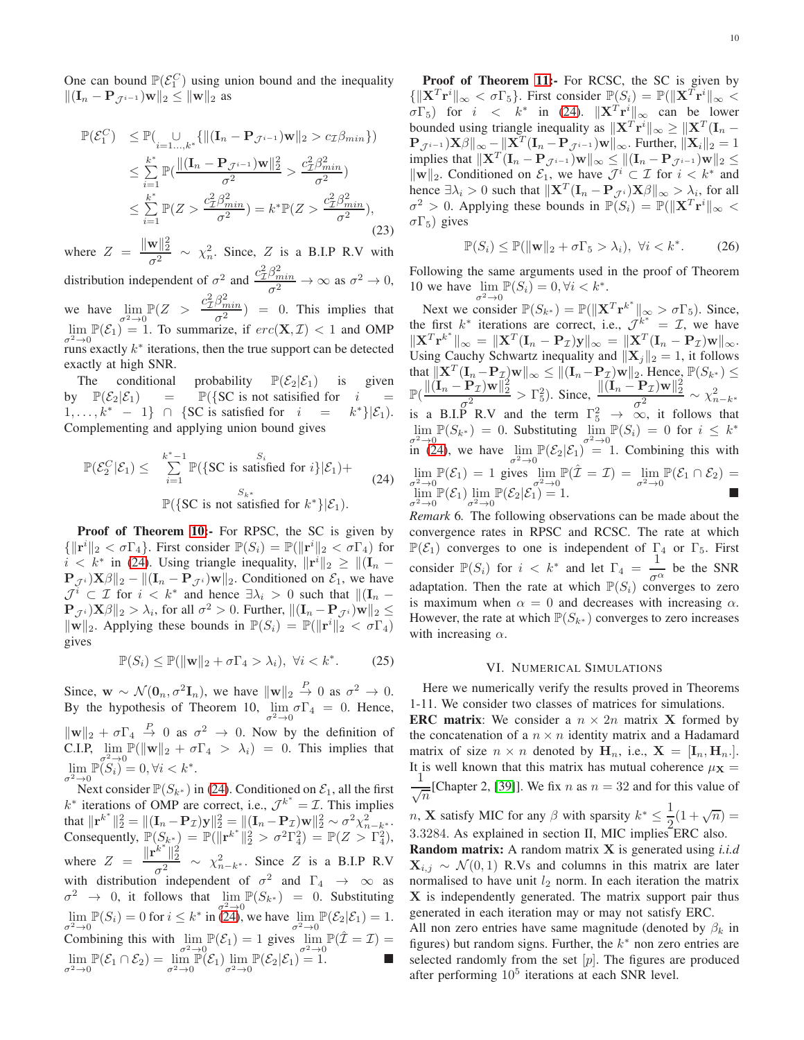One can bound  $\mathbb{P}(\mathcal{E}_1^C)$  using union bound and the inequality  $||(\mathbf{I}_n - \mathbf{P}_{\mathcal{J}^{i-1}})\mathbf{w}||_2 \le ||\mathbf{w}||_2$  as

$$
\mathbb{P}(\mathcal{E}_1^C) \leq \mathbb{P}(\bigcup_{i=1...,k^*} \{ \|( \mathbf{I}_n - \mathbf{P}_{\mathcal{J}^{i-1}} ) \mathbf{w} \|_2 > c_{\mathcal{I}} \beta_{min} \})
$$
\n
$$
\leq \sum_{i=1}^{k^*} \mathbb{P}(\frac{\|( \mathbf{I}_n - \mathbf{P}_{\mathcal{J}^{i-1}} ) \mathbf{w} \|_2^2}{\sigma^2} > \frac{c_{\mathcal{I}}^2 \beta_{min}^2}{\sigma^2})
$$
\n
$$
\leq \sum_{i=1}^{k^*} \mathbb{P}(Z > \frac{c_{\mathcal{I}}^2 \beta_{min}^2}{\sigma^2}) = k^* \mathbb{P}(Z > \frac{c_{\mathcal{I}}^2 \beta_{min}^2}{\sigma^2}),
$$
\n(23)

where  $Z = \frac{\|\mathbf{w}\|_2^2}{2}$  $\frac{\mathbf{w}}{\sigma^2}$  ~  $\chi_n^2$ . Since, Z is a B.I.P R.V with

distribution independent of  $\sigma^2$  and  $\frac{c^2 \beta_{min}^2}{\sigma^2} \to \infty$  as  $\sigma^2 \to 0$ , σ we have  $\lim_{\sigma^2 \to 0} \mathbb{P}(Z > \frac{c^2 \beta_{min}^2}{\sigma^2})$  $\left(\frac{\rho_{min}}{\sigma^2}\right) = 0$ . This implies that  $\lim_{\sigma^2 \to 0} \mathbb{P}(\mathcal{E}_1) = 1$ . To summarize, if  $erc(\mathbf{X}, \mathcal{I}) < 1$  and OMP runs exactly  $k^*$  iterations, then the true support can be detected exactly at high SNR.

The conditional probability  $\mathbb{P}(\mathcal{E}_2|\mathcal{E}_1)$  is given<br>by  $\mathbb{P}(\mathcal{E}_2|\mathcal{E}_1)$  =  $\mathbb{P}(\{\text{SC is not satisfied for } i =$  $\mathbb{P}({\{SC \text{ is not satisfied for } i \atop C \text{ is satisfied for } i = k^* \}})$  $1, \ldots, k^* - 1$  ∩ {SC is satisfied for *i*  $k^*\}|\mathcal{E}_1)$ . Complementing and applying union bound gives

<span id="page-9-0"></span>
$$
\mathbb{P}(\mathcal{E}_2^C|\mathcal{E}_1) \leq \sum_{i=1}^{k^*-1} \mathbb{P}(\{\text{SC is satisfied for } i\}|\mathcal{E}_1) + \mathbb{P}(\{\text{SC is not satisfied for } k^*\}|\mathcal{E}_1).
$$
\n(24)

Proof of Theorem [10:](#page-8-1)- For RPSC, the SC is given by  $\{\|\mathbf{r}^i\|_2 < \sigma \Gamma_4\}$ . First consider  $\mathbb{P}(S_i) = \mathbb{P}(\|\mathbf{r}^i\|_2 < \sigma \Gamma_4)$  for  $i < k^*$  in [\(24\)](#page-9-0). Using triangle inequality,  $||\mathbf{r}^i||_2 \ge ||(\mathbf{I}_n \mathbf{P}_{\mathcal{J}^i} \left[\mathbf{X}\boldsymbol{\beta}\right]_2 - \left\|\left(\mathbf{I}_n - \mathbf{P}_{\mathcal{J}^i}\right)\mathbf{w}\right\|_2$ . Conditioned on  $\mathcal{E}_1$ , we have  $\mathcal{J}^i \subset \mathcal{I}$  for  $i < k^*$  and hence  $\exists \lambda_i > 0$  such that  $\Vert (\mathbf{I}_n - \mathbf{I}_n)^T \Vert$  $\mathbf{P}_{\mathcal{J}^i} \mathbf{X}\beta\|_2 > \lambda_i$ , for all  $\sigma^2 > 0$ . Further,  $\|(\mathbf{I}_n - \mathbf{P}_{\mathcal{J}^i})\mathbf{w}\|_2 \leq$  $\|\mathbf{w}\|_2$ . Applying these bounds in  $\mathbb{P}(S_i) = \mathbb{P}(\|\mathbf{r}^i\|_2 < \sigma \Gamma_4)$ gives

$$
\mathbb{P}(S_i) \le \mathbb{P}(\|\mathbf{w}\|_2 + \sigma \Gamma_4 > \lambda_i), \ \forall i < k^*. \tag{25}
$$

Since,  $\mathbf{w} \sim \mathcal{N}(\mathbf{0}_n, \sigma^2 \mathbf{I}_n)$ , we have  $\|\mathbf{w}\|_2 \stackrel{P}{\to} 0$  as  $\sigma^2 \to 0$ . By the hypothesis of Theorem 10,  $\lim_{\sigma^2 \to 0} \sigma \Gamma_4 = 0$ . Hence,  $\|\mathbf{w}\|_2 + \sigma \Gamma_4 \stackrel{P}{\rightarrow} 0$  as  $\sigma^2 \rightarrow 0$ . Now by the definition of C.I.P,  $\lim_{\sigma^2 \to 0} \mathbb{P}(\|\mathbf{w}\|_2 + \sigma \Gamma_4 > \lambda_i) = 0$ . This implies that  $\lim_{i \to \infty} \mathbb{P}(S_i) = 0, \forall i < k^*.$ 

 $\sigma^2 \to 0$ <br>Next consider  $\mathbb{P}(S_{k^*})$  in [\(24\)](#page-9-0). Conditioned on  $\mathcal{E}_1$ , all the first  $k^*$  iterations of OMP are correct, i.e.,  $\mathcal{J}^{k^*} = \mathcal{I}$ . This implies that  $\|\mathbf{r}^{k^*}\|_2^2 = \|(\mathbf{I}_n - \mathbf{P}_{\mathcal{I}})\mathbf{y}\|_2^2 = \|(\mathbf{I}_n - \mathbf{P}_{\mathcal{I}})\mathbf{w}\|_2^2 \sim \sigma^2 \chi^2_{n-k^*}.$ Consequently,  $\mathbb{P}(S_{k^*}) = \mathbb{P}(\|\mathbf{r}^{k^*}\|_2^2 > \sigma^2 \Gamma_4^2) = \mathbb{P}(Z > \Gamma_4^2),$ where  $Z = \frac{\|\mathbf{r}^{k^*}\|_2^2}{2}$  $\frac{\|2\|}{\sigma^2} \sim \chi^2_{n-k^*}$ . Since Z is a B.I.P R.V with distribution independent of  $\sigma^2$  and  $\Gamma_4 \rightarrow \infty$  as  $\sigma^2 \rightarrow 0$ , it follows that  $\lim_{\sigma^2 \to 0} \mathbb{P}(S_{k^*}) = 0$ . Substituting  $\lim_{\sigma^2 \to 0} \mathbb{P}(S_i) = 0$  for  $i \leq k^*$  in [\(24\)](#page-9-0), we have  $\lim_{\sigma^2 \to 0} \mathbb{P}(\mathcal{E}_2 | \mathcal{E}_1) = 1$ . Combining this with  $\lim_{\sigma^2 \to 0} \mathbb{P}(\mathcal{E}_1) = 1$  gives  $\lim_{\sigma^2 \to 0} \mathbb{P}(\hat{\mathcal{I}} = \mathcal{I}) =$  $\lim_{\sigma^2 \to 0} \mathbb{P}(\mathcal{E}_1 \cap \mathcal{E}_2) = \lim_{\sigma^2 \to 0} \mathbb{P}(\mathcal{E}_1) \lim_{\sigma^2 \to 0} \mathbb{P}(\mathcal{E}_2 | \mathcal{E}_1) = 1.$ 

Proof of Theorem [11:](#page-8-2)- For RCSC, the SC is given by  $\{\|\mathbf{X}^T\mathbf{r}^i\|_{\infty} < \sigma\Gamma_5\}$ . First consider  $\mathbb{P}(S_i) = \mathbb{P}(\|\mathbf{X}^T\mathbf{r}^i\|_{\infty} <$  $\sigma \Gamma_5$ ) for  $i < k^*$  in [\(24\)](#page-9-0).  $\|\mathbf{X}^T\mathbf{r}^i\|_{\infty}$  can be lower bounded using triangle inequality as  $||\mathbf{X}^T \mathbf{r}^i||_{\infty} \ge ||\mathbf{X}^T (\mathbf{I}_n \mathbf{P}_{\mathcal{J}^{i-1}} |\mathbf{X}\boldsymbol{\beta}| \propto -\|\mathbf{X}^T (\mathbf{I}_n - \mathbf{P}_{\mathcal{J}^{i-1}}) \mathbf{w}\|_{\infty}$ . Further,  $\|\mathbf{X}_i\|_2 = 1$ implies that  $||\mathbf{X}^T(\mathbf{I}_n - \mathbf{P}_{\mathcal{J}^{i-1}})\mathbf{w}||_{\infty} \le ||(\mathbf{I}_n - \mathbf{P}_{\mathcal{J}^{i-1}})\mathbf{w}||_2 \le ||\mathbf{Q}_{\mathcal{J}^{i-1}}||_{\infty}$  $\|\mathbf{w}\|_2$ . Conditioned on  $\mathcal{E}_1$ , we have  $\mathcal{J}^i \subset \mathcal{I}$  for  $i < k^*$  and hence  $\exists \lambda_i > 0$  such that  $\|\mathbf{X}^T (\mathbf{I}_n - \mathbf{P}_{\mathcal{J}^i}) \mathbf{X} \beta\|_{\infty} > \lambda_i$ , for all  $\sigma^2 > 0$ . Applying these bounds in  $\mathbb{P}(S_i) = \mathbb{P}(\|\mathbf{X}^T\mathbf{r}^i\|_{\infty} <$  $\sigma\Gamma_5$ ) gives

$$
\mathbb{P}(S_i) \le \mathbb{P}(\|\mathbf{w}\|_2 + \sigma \Gamma_5 > \lambda_i), \ \forall i < k^*. \tag{26}
$$

Following the same arguments used in the proof of Theorem 10 we have  $\lim_{\sigma^2 \to 0} \mathbb{P}(S_i) = 0, \forall i < k^*$ .

Next we consider  $\mathbb{P}(S_{k^*}) = \mathbb{P}(\|\mathbf{X}^T\mathbf{r}^{k^*}\|_{\infty} > \sigma \Gamma_5)$ . Since, the first  $k^*$  iterations are correct, i.e.,  $\mathcal{J}^{k^*} = \mathcal{I}$ , we have  $\|\mathbf{X}^T\mathbf{r}^{k^*}\|_{\infty} = \|\mathbf{X}^T(\mathbf{I}_n - \mathbf{P}_{\mathcal{I}})\mathbf{y}\|_{\infty} = \|\mathbf{X}^T(\mathbf{I}_n - \mathbf{P}_{\mathcal{I}})\mathbf{w}\|_{\infty}.$ Using Cauchy Schwartz inequality and  $||\mathbf{X}_j||_2 = 1$ , it follows that  $\|\mathbf{X}^T(\mathbf{I}_n - \mathbf{P}_{\mathcal{I}})\mathbf{w}\|_{\infty} \leq \|(\mathbf{I}_n - \mathbf{P}_{\mathcal{I}})\mathbf{w}\|_{2}$ . Hence,  $\mathbb{P}(S_{k^*}) \leq$  $\mathbb{P}(\frac{\|(\mathbf{I}_n - \mathbf{P}_{\mathcal{I}})\mathbf{w}\|_2^2}{2})$  $\frac{\|\mathbf{P}_\mathcal{I}|\mathbf{w}\|_2^2}{\sigma^2} > \Gamma_5^2$ ). Since,  $\frac{\|(\mathbf{I}_n - \mathbf{P}_\mathcal{I})\mathbf{w}\|_2^2}{\sigma^2}$  $\frac{1}{\sigma^2} \frac{\mathcal{L} y \mathbf{w}_{\parallel 2}}{\mathcal{L}^2} \sim \chi^2_{n-k^*}$ is a B.I.P R.V and the term  $\Gamma_5^2 \rightarrow \infty$ , it follows that  $\lim_{\sigma^2 \to 0} \mathbb{P}(S_{k^*}) = 0$ . Substituting  $\lim_{\sigma^2 \to 0} \mathbb{P}(S_i) = 0$  for  $i \leq k^*$ in [\(24\)](#page-9-0), we have  $\lim_{\sigma^2 \to 0} \mathbb{P}(\mathcal{E}_2|\mathcal{E}_1) = 1$ . Combining this with  $\lim_{\sigma^2 \to 0} \mathbb{P}(\mathcal{E}_1) = 1$  gives  $\lim_{\sigma^2 \to 0} \mathbb{P}(\hat{\mathcal{I}} = \mathcal{I}) = \lim_{\sigma^2 \to 0} \mathbb{P}(\mathcal{E}_1 \cap \mathcal{E}_2) =$  $\lim_{\sigma^2 \to 0} \mathbb{P}(\mathcal{E}_1) \lim_{\sigma^2 \to 0} \mathbb{P}(\mathcal{E}_2|\mathcal{E}_1) = 1.$ 

*Remark* 6*.* The following observations can be made about the convergence rates in RPSC and RCSC. The rate at which  $\mathbb{P}(\mathcal{E}_1)$  converges to one is independent of  $\Gamma_4$  or  $\Gamma_5$ . First consider  $\mathbb{P}(S_i)$  for  $i < k^*$  and let  $\Gamma_4 = \frac{1}{\tau_1}$  $\frac{1}{\sigma^{\alpha}}$  be the SNR adaptation. Then the rate at which  $\mathbb{P}(S_i)$  converges to zero is maximum when  $\alpha = 0$  and decreases with increasing  $\alpha$ . However, the rate at which  $\mathbb{P}(S_{k^*})$  converges to zero increases with increasing  $\alpha$ .

#### VI. NUMERICAL SIMULATIONS

Here we numerically verify the results proved in Theorems 1-11. We consider two classes of matrices for simulations.

**ERC matrix:** We consider a  $n \times 2n$  matrix **X** formed by the concatenation of a  $n \times n$  identity matrix and a Hadamard matrix of size  $n \times n$  denoted by  $H_n$ , i.e.,  $X = [I_n, H_n]$ . It is well known that this matrix has mutual coherence  $\mu_{\mathbf{X}} =$ 1  $\frac{1}{\sqrt{n}}$ [Chapter 2, [\[39\]](#page-12-36)]. We fix *n* as  $n = 32$  and for this value of

*n*, **X** satisfy MIC for any  $\beta$  with sparsity  $k^* \leq \frac{1}{2}$  $\frac{1}{2}(1+\sqrt{n}) =$ 3.3284. As explained in section II, MIC implies ERC also.

Random matrix: A random matrix X is generated using *i.i.d*  $\mathbf{X}_{i,j} \sim \mathcal{N}(0, 1)$  R.Vs and columns in this matrix are later normalised to have unit  $l_2$  norm. In each iteration the matrix X is independently generated. The matrix support pair thus generated in each iteration may or may not satisfy ERC.

All non zero entries have same magnitude (denoted by  $\beta_k$  in figures) but random signs. Further, the  $k^*$  non zero entries are selected randomly from the set  $[p]$ . The figures are produced after performing  $10^5$  iterations at each SNR level.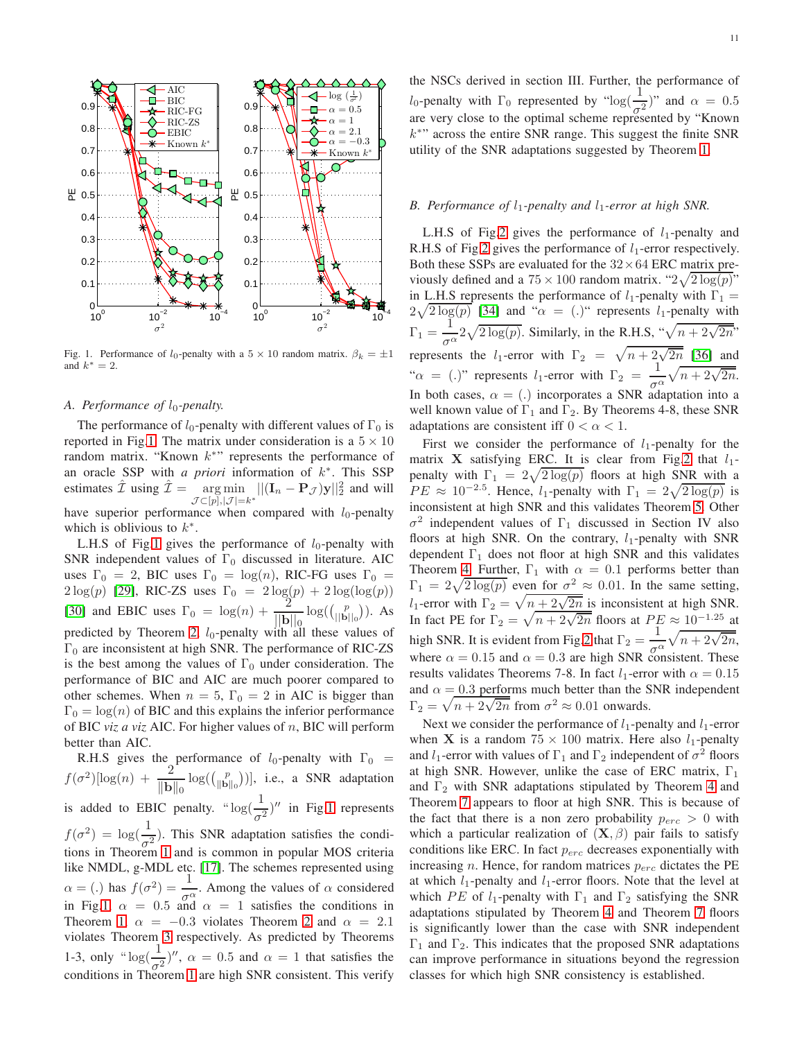

<span id="page-10-0"></span>Fig. 1. Performance of  $l_0$ -penalty with a  $5 \times 10$  random matrix.  $\beta_k = \pm 1$ and  $k^* = 2$ .

## *A. Performance of*  $l_0$ -penalty.

The performance of  $l_0$ -penalty with different values of  $\Gamma_0$  is reported in Fig[.1.](#page-10-0) The matrix under consideration is a  $5 \times 10$ random matrix. "Known  $k^*$ " represents the performance of an oracle SSP with *a priori* information of  $k^*$ . This SSP estimates  $\hat{\mathcal{I}}$  using  $\hat{\mathcal{I}} = \argmin_{\mathcal{I} \in \{1, |\mathcal{I}|\}} ||(\mathbf{I}_n - \mathbf{P}_{\mathcal{I}})\mathbf{y}||_2^2$  and will  $\mathcal{J} \!\subset\! [p], |\mathcal{J}|\!=\!k^*$ have superior performance when compared with  $l_0$ -penalty which is oblivious to  $k^*$ .

L.H.S of Fig[.1](#page-10-0) gives the performance of  $l_0$ -penalty with SNR independent values of  $\Gamma_0$  discussed in literature. AIC uses  $\Gamma_0 = 2$ , BIC uses  $\Gamma_0 = \log(n)$ , RIC-FG uses  $\Gamma_0 =$  $2\log(p)$  [\[29\]](#page-12-25), RIC-ZS uses  $\Gamma_0 = 2\log(p) + 2\log(\log(p))$ [\[30\]](#page-12-26) and EBIC uses  $\Gamma_0 = \log(n) + \frac{2}{\ln n}$  $||\mathbf{b}||_0$  $\log((\begin{bmatrix}p\\||\mathbf{b}||_0\end{bmatrix}))$ . As predicted by Theorem [2,](#page-4-0)  $l_0$ -penalty with all these values of  $\Gamma_0$  are inconsistent at high SNR. The performance of RIC-ZS is the best among the values of  $\Gamma_0$  under consideration. The performance of BIC and AIC are much poorer compared to other schemes. When  $n = 5$ ,  $\Gamma_0 = 2$  in AIC is bigger than  $\Gamma_0 = \log(n)$  of BIC and this explains the inferior performance of BIC *viz a viz* AIC. For higher values of n, BIC will perform better than AIC.

R.H.S gives the performance of  $l_0$ -penalty with  $\Gamma_0$  =  $f(\sigma^2)[\log(n) + \frac{2}{\ln n}]$  $\|\mathbf{b}\|_0$  $log((\binom{p}{\|\mathbf{b}\|_0}))$ , i.e., a SNR adaptation is added to EBIC penalty. " $\log(\frac{1}{\sigma^2})$ " in Fig[.1](#page-10-0) represents  $f(\sigma^2) = \log(\frac{1}{\sigma^2})$ . This SNR adaptation satisfies the conditions in Theorem [1](#page-3-0) and is common in popular MOS criteria like NMDL, g-MDL etc. [\[17\]](#page-12-12). The schemes represented using  $\alpha = (.)$  has  $f(\sigma^2) = \frac{1}{\sigma^{\alpha}}$ . Among the values of  $\alpha$  considered in Fig[.1,](#page-10-0)  $\alpha = 0.5$  and  $\alpha = 1$  satisfies the conditions in Theorem [1,](#page-3-0)  $\alpha = -0.3$  violates Theorem [2](#page-4-0) and  $\alpha = 2.1$ violates Theorem [3](#page-4-1) respectively. As predicted by Theorems 1-3, only " $\log(\frac{1}{\sigma^2})$ ",  $\alpha = 0.5$  and  $\alpha = 1$  that satisfies the conditions in Theorem [1](#page-3-0) are high SNR consistent. This verify the NSCs derived in section III. Further, the performance of l<sub>0</sub>-penalty with  $\Gamma_0$  represented by "log( $\frac{1}{\sigma^2}$ )" and  $\alpha = 0.5$ are very close to the optimal scheme represented by "Known k ∗ " across the entire SNR range. This suggest the finite SNR utility of the SNR adaptations suggested by Theorem [1.](#page-3-0)

# *B. Performance of*  $l_1$ -penalty and  $l_1$ -error at high SNR.

L.H.S of Fig[.2](#page-11-0) gives the performance of  $l_1$ -penalty and R.H.S of Fig[.2](#page-11-0) gives the performance of  $l_1$ -error respectively. Both these SSPs are evaluated for the  $32 \times 64$  ERC matrix previously defined and a  $75 \times 100$  random matrix. " $2\sqrt{2 \log(p)}$ " in L.H.S represents the performance of  $l_1$ -penalty with  $\Gamma_1$  =  $2\sqrt{2\log(p)}$  [\[34\]](#page-12-30) and " $\alpha = (.)$ " represents l<sub>1</sub>-penalty with  $\Gamma_1 = \frac{1}{\sqrt{2}}$ σ  $\frac{1}{\alpha}$  2 $\sqrt{2 \log(p)}$ . Similarly, in the R.H.S, " $\sqrt{n + 2\sqrt{2n}}$ " represents the *l*<sub>1</sub>-error with  $\Gamma_2 = \sqrt{n + 2\sqrt{2n}}$  [\[36\]](#page-12-32) and " $\alpha$  = (.)" represents l<sub>1</sub>-error with  $\Gamma_2 = \frac{1}{\epsilon_0}$  $\frac{1}{\sigma_1^{\alpha}}\sqrt{n+2\sqrt{2n}}.$ In both cases,  $\alpha = (.)$  incorporates a SNR adaptation into a well known value of  $\Gamma_1$  and  $\Gamma_2$ . By Theorems 4-8, these SNR adaptations are consistent iff  $0 < \alpha < 1$ .

First we consider the performance of  $l_1$ -penalty for the matrix **X** satisfying ERC. It is clear from Fig[.2](#page-11-0) that  $l_1$ penalty with  $\Gamma_1 = 2\sqrt{2\log(p)}$  floors at high SNR with a  $PE \approx 10^{-2.5}$ . Hence,  $l_1$ -penalty with  $\Gamma_1 = 2\sqrt{2\log(p)}$  is inconsistent at high SNR and this validates Theorem [5.](#page-6-1) Other  $\sigma^2$  independent values of  $\Gamma_1$  discussed in Section IV also floors at high SNR. On the contrary,  $l_1$ -penalty with SNR dependent  $\Gamma_1$  does not floor at high SNR and this validates Theorem [4.](#page-5-0) Further,  $\Gamma_1$  with  $\alpha = 0.1$  performs better than  $\Gamma_1 = 2\sqrt{2\log(p)}$  even for  $\sigma^2 \approx 0.01$ . In the same setting,  $l_1$ -error with  $\Gamma_2 = \sqrt{n + 2\sqrt{2n}}$  is inconsistent at high SNR. In fact PE for  $\Gamma_2 = \sqrt{n + 2\sqrt{2n}}$  floors at  $PE \approx 10^{-1.25}$  at high SNR. It is evident from Fig[.2](#page-11-0) that  $\Gamma_2 = \frac{1}{r}$  $\frac{1}{\sigma^{\alpha}}\sqrt{n+2\sqrt{2n}},$ where  $\alpha = 0.15$  and  $\alpha = 0.3$  are high SNR consistent. These results validates Theorems 7-8. In fact  $l_1$ -error with  $\alpha = 0.15$ and  $\alpha = 0.3$  performs much better than the SNR independent  $\Gamma_2 = \sqrt{n + 2\sqrt{2n}}$  from  $\sigma^2 \approx 0.01$  onwards.

Next we consider the performance of  $l_1$ -penalty and  $l_1$ -error when **X** is a random  $75 \times 100$  matrix. Here also  $l_1$ -penalty and  $l_1$ -error with values of  $\Gamma_1$  and  $\Gamma_2$  independent of  $\sigma^2$  floors at high SNR. However, unlike the case of ERC matrix,  $\Gamma_1$ and  $\Gamma_2$  with SNR adaptations stipulated by Theorem [4](#page-5-0) and Theorem [7](#page-7-0) appears to floor at high SNR. This is because of the fact that there is a non zero probability  $p_{erc} > 0$  with which a particular realization of  $(X, \beta)$  pair fails to satisfy conditions like ERC. In fact  $p_{erc}$  decreases exponentially with increasing *n*. Hence, for random matrices  $p_{erc}$  dictates the PE at which  $l_1$ -penalty and  $l_1$ -error floors. Note that the level at which PE of l<sub>1</sub>-penalty with  $\Gamma_1$  and  $\Gamma_2$  satisfying the SNR adaptations stipulated by Theorem [4](#page-5-0) and Theorem [7](#page-7-0) floors is significantly lower than the case with SNR independent  $\Gamma_1$  and  $\Gamma_2$ . This indicates that the proposed SNR adaptations can improve performance in situations beyond the regression classes for which high SNR consistency is established.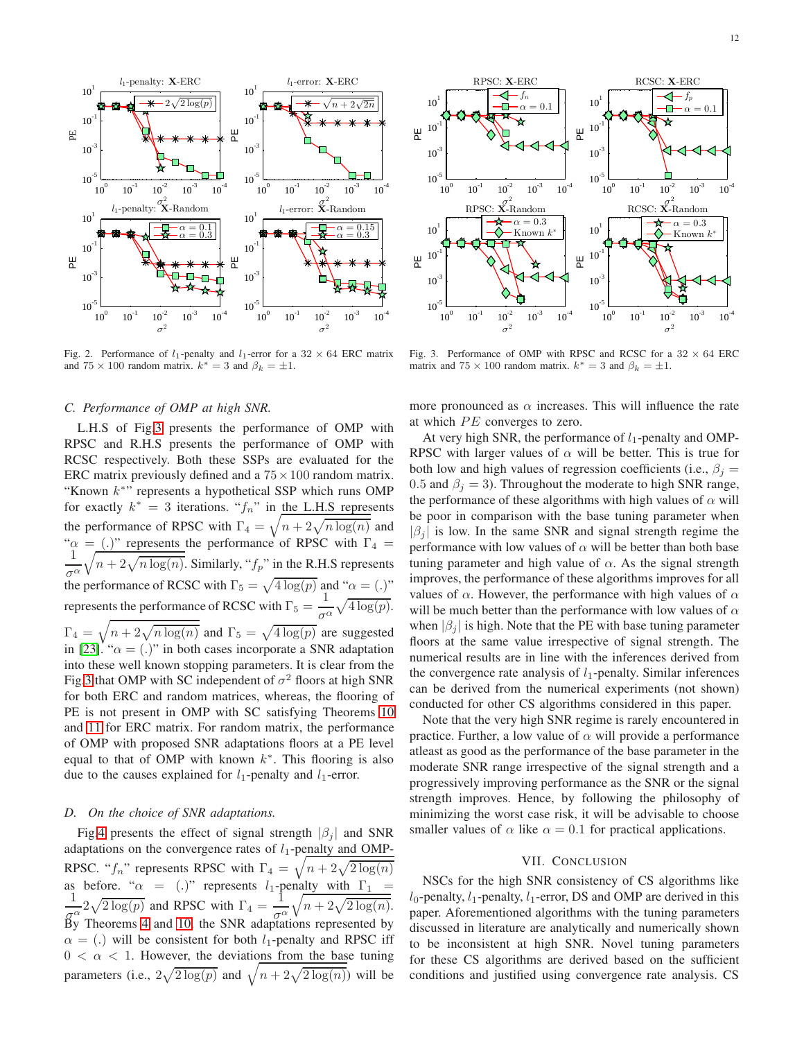

<span id="page-11-0"></span>Fig. 2. Performance of  $l_1$ -penalty and  $l_1$ -error for a 32  $\times$  64 ERC matrix and  $75 \times 100$  random matrix.  $k^* = 3$  and  $\beta_k = \pm 1$ .

# *C. Performance of OMP at high SNR.*

L.H.S of Fig[.3](#page-11-1) presents the performance of OMP with RPSC and R.H.S presents the performance of OMP with RCSC respectively. Both these SSPs are evaluated for the ERC matrix previously defined and a  $75 \times 100$  random matrix. "Known  $k^*$ " represents a hypothetical SSP which runs OMP for exactly  $k^* = 3$  iterations. " $f_n$ " in the L.H.S represents the performance of RPSC with  $\Gamma_4 = \sqrt{n + 2\sqrt{n \log(n)}}$  and " $\alpha$  = (.)" represents the performance of RPSC with  $\Gamma_4$  = 1 σ α  $\sqrt{n + 2\sqrt{n \log(n)}}$ . Similarly, " $f_p$ " in the R.H.S represents the performance of RCSC with  $\Gamma_5 = \sqrt{4 \log(p)}$  and " $\alpha = (.)$ " represents the performance of RCSC with  $\Gamma_5 = \frac{1}{2}$  $rac{1}{\sigma^{\alpha}}\sqrt{4\log(p)}.$  $\Gamma_4 = \sqrt{n + 2\sqrt{n \log(n)}}$  and  $\Gamma_5 = \sqrt{4 \log(p)}$  are suggested in [\[23\]](#page-12-23). " $\alpha = (.)$ " in both cases incorporate a SNR adaptation into these well known stopping parameters. It is clear from the Fig[.3](#page-11-1) that OMP with SC independent of  $\sigma^2$  floors at high SNR for both ERC and random matrices, whereas, the flooring of PE is not present in OMP with SC satisfying Theorems [10](#page-8-1) and [11](#page-8-2) for ERC matrix. For random matrix, the performance of OMP with proposed SNR adaptations floors at a PE level equal to that of OMP with known  $k^*$ . This flooring is also due to the causes explained for  $l_1$ -penalty and  $l_1$ -error.

#### *D. On the choice of SNR adaptations.*

Fig[.4](#page-12-37) presents the effect of signal strength  $|\beta_i|$  and SNR adaptations on the convergence rates of  $l_1$ -penalty and OMP-RPSC. " $f_n$ " represents RPSC with  $\Gamma_4 = \sqrt{n + 2\sqrt{2\log(n)}}$ as before. " $\alpha$  = (.)" represents l<sub>1</sub>-penalty with  $\Gamma_1$ 1  $rac{1}{g^{\alpha}} 2\sqrt{2\log(p)}$  and RPSC with  $\Gamma_4 = \frac{1}{g^{\alpha}}$  $\sigma^{\alpha}$  $\sqrt{n + 2\sqrt{2\log(n)}}$ . By Theorems [4](#page-5-0) and [10,](#page-8-1) the SNR adaptations represented by  $\alpha = (.)$  will be consistent for both l<sub>1</sub>-penalty and RPSC iff  $0 < \alpha < 1$ . However, the deviations from the base tuning parameters (i.e.,  $2\sqrt{2\log(p)}$  and  $\sqrt{n+2\sqrt{2\log(n)}}$ ) will be



<span id="page-11-1"></span>Fig. 3. Performance of OMP with RPSC and RCSC for a  $32 \times 64$  ERC matrix and  $75 \times 100$  random matrix.  $k^* = 3$  and  $\beta_k = \pm 1$ .

more pronounced as  $\alpha$  increases. This will influence the rate at which  $PE$  converges to zero.

At very high SNR, the performance of  $l_1$ -penalty and OMP-RPSC with larger values of  $\alpha$  will be better. This is true for both low and high values of regression coefficients (i.e.,  $\beta_j =$ 0.5 and  $\beta_i = 3$ ). Throughout the moderate to high SNR range, the performance of these algorithms with high values of  $\alpha$  will be poor in comparison with the base tuning parameter when  $|\beta_i|$  is low. In the same SNR and signal strength regime the performance with low values of  $\alpha$  will be better than both base tuning parameter and high value of  $\alpha$ . As the signal strength improves, the performance of these algorithms improves for all values of  $\alpha$ . However, the performance with high values of  $\alpha$ will be much better than the performance with low values of  $\alpha$ when  $|\beta_i|$  is high. Note that the PE with base tuning parameter floors at the same value irrespective of signal strength. The numerical results are in line with the inferences derived from the convergence rate analysis of  $l_1$ -penalty. Similar inferences can be derived from the numerical experiments (not shown) conducted for other CS algorithms considered in this paper.

Note that the very high SNR regime is rarely encountered in practice. Further, a low value of  $\alpha$  will provide a performance atleast as good as the performance of the base parameter in the moderate SNR range irrespective of the signal strength and a progressively improving performance as the SNR or the signal strength improves. Hence, by following the philosophy of minimizing the worst case risk, it will be advisable to choose smaller values of  $\alpha$  like  $\alpha = 0.1$  for practical applications.

#### VII. CONCLUSION

NSCs for the high SNR consistency of CS algorithms like  $l_0$ -penalty,  $l_1$ -penalty,  $l_1$ -error, DS and OMP are derived in this paper. Aforementioned algorithms with the tuning parameters discussed in literature are analytically and numerically shown to be inconsistent at high SNR. Novel tuning parameters for these CS algorithms are derived based on the sufficient conditions and justified using convergence rate analysis. CS